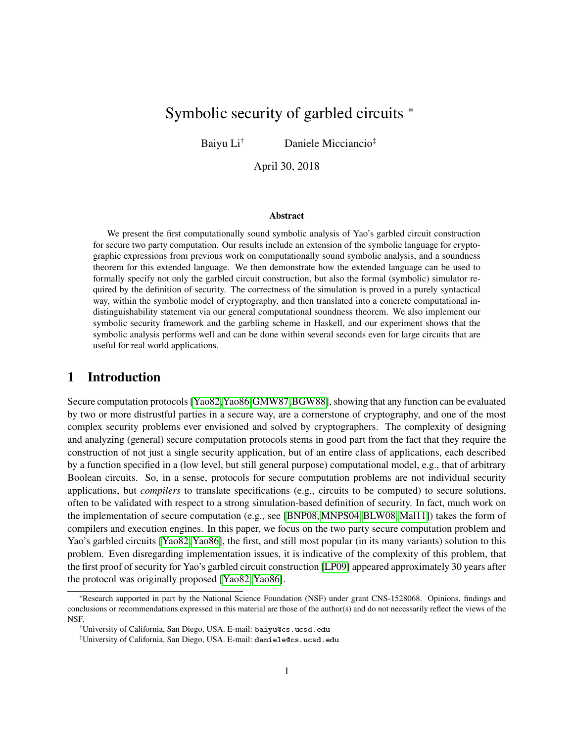# Symbolic security of garbled circuits  $*$

Baiyu Li<sup>†</sup> Daniele Micciancio<sup>‡</sup>

April 30, 2018

#### **Abstract**

We present the first computationally sound symbolic analysis of Yao's garbled circuit construction for secure two party computation. Our results include an extension of the symbolic language for cryptographic expressions from previous work on computationally sound symbolic analysis, and a soundness theorem for this extended language. We then demonstrate how the extended language can be used to formally specify not only the garbled circuit construction, but also the formal (symbolic) simulator required by the definition of security. The correctness of the simulation is proved in a purely syntactical way, within the symbolic model of cryptography, and then translated into a concrete computational indistinguishability statement via our general computational soundness theorem. We also implement our symbolic security framework and the garbling scheme in Haskell, and our experiment shows that the symbolic analysis performs well and can be done within several seconds even for large circuits that are useful for real world applications.

# **1 Introduction**

Secure computation protocols [\[Yao82,](#page-26-0)[Yao86,](#page-26-1)[GMW87,](#page-25-0)[BGW88\]](#page-24-0), showing that any function can be evaluated by two or more distrustful parties in a secure way, are a cornerstone of cryptography, and one of the most complex security problems ever envisioned and solved by cryptographers. The complexity of designing and analyzing (general) secure computation protocols stems in good part from the fact that they require the construction of not just a single security application, but of an entire class of applications, each described by a function specified in a (low level, but still general purpose) computational model, e.g., that of arbitrary Boolean circuits. So, in a sense, protocols for secure computation problems are not individual security applications, but *compilers* to translate specifications (e.g., circuits to be computed) to secure solutions, often to be validated with respect to a strong simulation-based definition of security. In fact, much work on the implementation of secure computation (e.g., see [\[BNP08,](#page-24-1)[MNPS04,](#page-26-2) [BLW08,](#page-24-2)[Mal11\]](#page-25-1)) takes the form of compilers and execution engines. In this paper, we focus on the two party secure computation problem and Yao's garbled circuits [\[Yao82,](#page-26-0) [Yao86\]](#page-26-1), the first, and still most popular (in its many variants) solution to this problem. Even disregarding implementation issues, it is indicative of the complexity of this problem, that the first proof of security for Yao's garbled circuit construction [\[LP09\]](#page-25-2) appeared approximately 30 years after the protocol was originally proposed [\[Yao82,](#page-26-0) [Yao86\]](#page-26-1).

<sup>∗</sup>Research supported in part by the National Science Foundation (NSF) under grant CNS-1528068. Opinions, findings and conclusions or recommendations expressed in this material are those of the author(s) and do not necessarily reflect the views of the NSF.

<sup>†</sup>University of California, San Diego, USA. E-mail: baiyu@cs.ucsd.edu

<sup>‡</sup>University of California, San Diego, USA. E-mail: daniele@cs.ucsd.edu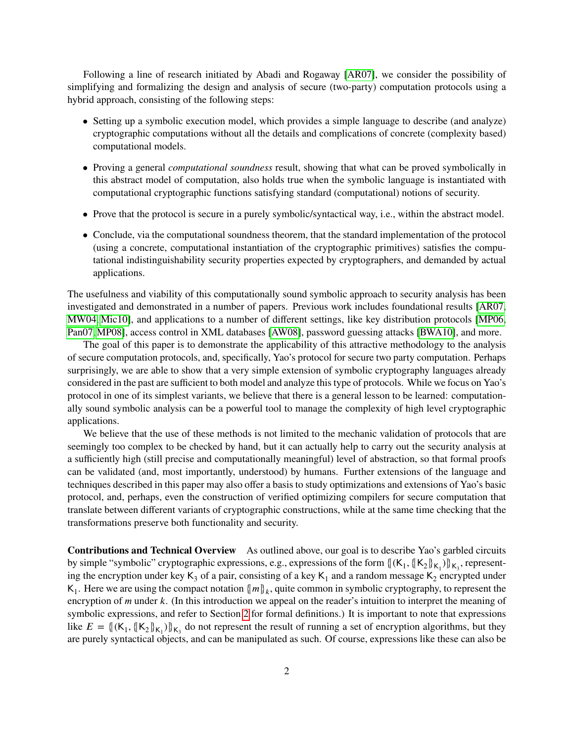Following a line of research initiated by Abadi and Rogaway [\[AR07\]](#page-23-0), we consider the possibility of simplifying and formalizing the design and analysis of secure (two-party) computation protocols using a hybrid approach, consisting of the following steps:

- Setting up a symbolic execution model, which provides a simple language to describe (and analyze) cryptographic computations without all the details and complications of concrete (complexity based) computational models.
- Proving a general *computational soundness* result, showing that what can be proved symbolically in this abstract model of computation, also holds true when the symbolic language is instantiated with computational cryptographic functions satisfying standard (computational) notions of security.
- Prove that the protocol is secure in a purely symbolic/syntactical way, i.e., within the abstract model.
- Conclude, via the computational soundness theorem, that the standard implementation of the protocol (using a concrete, computational instantiation of the cryptographic primitives) satisfies the computational indistinguishability security properties expected by cryptographers, and demanded by actual applications.

The usefulness and viability of this computationally sound symbolic approach to security analysis has been investigated and demonstrated in a number of papers. Previous work includes foundational results [\[AR07,](#page-23-0) [MW04,](#page-26-3) [Mic10\]](#page-25-3), and applications to a number of different settings, like key distribution protocols [\[MP06,](#page-26-4) [Pan07,](#page-26-5)[MP08\]](#page-26-6), access control in XML databases [\[AW08\]](#page-23-1), password guessing attacks [\[BWA10\]](#page-24-3), and more.

The goal of this paper is to demonstrate the applicability of this attractive methodology to the analysis of secure computation protocols, and, specifically, Yao's protocol for secure two party computation. Perhaps surprisingly, we are able to show that a very simple extension of symbolic cryptography languages already considered in the past are sufficient to both model and analyze this type of protocols. While we focus on Yao's protocol in one of its simplest variants, we believe that there is a general lesson to be learned: computationally sound symbolic analysis can be a powerful tool to manage the complexity of high level cryptographic applications.

We believe that the use of these methods is not limited to the mechanic validation of protocols that are seemingly too complex to be checked by hand, but it can actually help to carry out the security analysis at a sufficiently high (still precise and computationally meaningful) level of abstraction, so that formal proofs can be validated (and, most importantly, understood) by humans. Further extensions of the language and techniques described in this paper may also offer a basis to study optimizations and extensions of Yao's basic protocol, and, perhaps, even the construction of verified optimizing compilers for secure computation that translate between different variants of cryptographic constructions, while at the same time checking that the transformations preserve both functionality and security.

**Contributions and Technical Overview** As outlined above, our goal is to describe Yao's garbled circuits by simple "symbolic" cryptographic expressions, e.g., expressions of the form  $\{(K_1, \{K_2\}_{K_1})\}_{K_3}$ , representing the encryption under key  $K_3$  of a pair, consisting of a key  $K_1$  and a random message  $K_2$  encrypted under  $K_1$ . Here we are using the compact notation  $\{m\}_k$ , quite common in symbolic cryptography, to represent the encryption of *m* under *k*. (In this introduction we appeal on the reader's intuition to interpret the meaning of symbolic expressions, and refer to Section [2](#page-4-0) for formal definitions.) It is important to note that expressions like  $E = \{(K_1, \{K_2\}_{K_1})\}_{K_3}$  do not represent the result of running a set of encryption algorithms, but they are purely syntactical objects, and can be manipulated as such. Of course, expressions like these can also be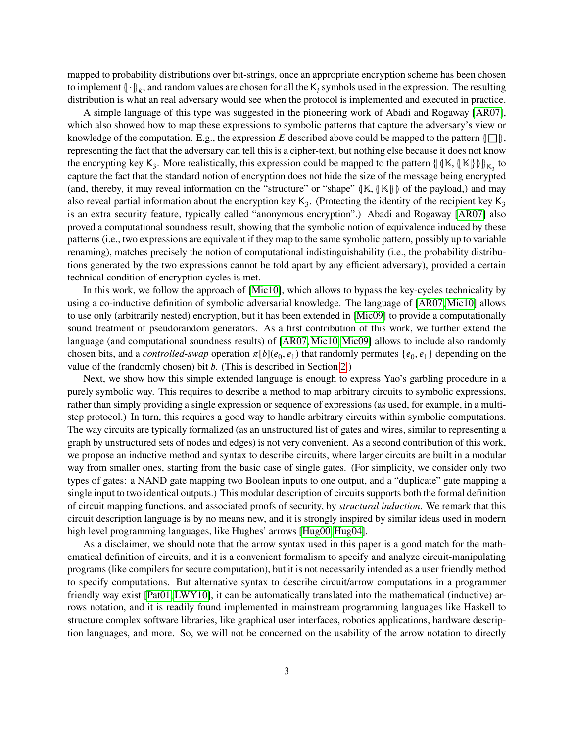mapped to probability distributions over bit-strings, once an appropriate encryption scheme has been chosen to implement  $\{\cdot\}_k$ , and random values are chosen for all the  $\mathsf{K}_i$  symbols used in the expression. The resulting distribution is what an real adversary would see when the protocol is implemented and executed in practice.

A simple language of this type was suggested in the pioneering work of Abadi and Rogaway [\[AR07\]](#page-23-0), which also showed how to map these expressions to symbolic patterns that capture the adversary's view or knowledge of the computation. E.g., the expression *E* described above could be mapped to the pattern  $\{\Box\}$ , representing the fact that the adversary can tell this is a cipher-text, but nothing else because it does not know the encrypting key  $K_3$ . More realistically, this expression could be mapped to the pattern  $\{\|\mathbf{x},\|\mathbf{x}\|\|\mathbf{y}\|_{K_3}$  to capture the fact that the standard notion of encryption does not hide the size of the message being encrypted (and, thereby, it may reveal information on the "structure" or "shape"  $(\mathbb{K}, \{\mathbb{K}\})$  of the payload,) and may also reveal partial information about the encryption key  $K_3$ . (Protecting the identity of the recipient key  $K_3$ is an extra security feature, typically called "anonymous encryption".) Abadi and Rogaway [\[AR07\]](#page-23-0) also proved a computational soundness result, showing that the symbolic notion of equivalence induced by these patterns (i.e., two expressions are equivalent if they map to the same symbolic pattern, possibly up to variable renaming), matches precisely the notion of computational indistinguishability (i.e., the probability distributions generated by the two expressions cannot be told apart by any efficient adversary), provided a certain technical condition of encryption cycles is met.

In this work, we follow the approach of [\[Mic10\]](#page-25-3), which allows to bypass the key-cycles technicality by using a co-inductive definition of symbolic adversarial knowledge. The language of [\[AR07,](#page-23-0) [Mic10\]](#page-25-3) allows to use only (arbitrarily nested) encryption, but it has been extended in [\[Mic09\]](#page-25-4) to provide a computationally sound treatment of pseudorandom generators. As a first contribution of this work, we further extend the language (and computational soundness results) of [\[AR07,](#page-23-0) [Mic10,](#page-25-3) [Mic09\]](#page-25-4) allows to include also randomly chosen bits, and a *controlled-swap* operation  $\pi[b](e_0, e_1)$  that randomly permutes  $\{e_0, e_1\}$  depending on the value of the (randomly chosen) bit *b*. (This is described in Section [2.](#page-4-0))

Next, we show how this simple extended language is enough to express Yao's garbling procedure in a purely symbolic way. This requires to describe a method to map arbitrary circuits to symbolic expressions, rather than simply providing a single expression or sequence of expressions (as used, for example, in a multistep protocol.) In turn, this requires a good way to handle arbitrary circuits within symbolic computations. The way circuits are typically formalized (as an unstructured list of gates and wires, similar to representing a graph by unstructured sets of nodes and edges) is not very convenient. As a second contribution of this work, we propose an inductive method and syntax to describe circuits, where larger circuits are built in a modular way from smaller ones, starting from the basic case of single gates. (For simplicity, we consider only two types of gates: a NAND gate mapping two Boolean inputs to one output, and a "duplicate" gate mapping a single input to two identical outputs.) This modular description of circuits supports both the formal definition of circuit mapping functions, and associated proofs of security, by *structural induction*. We remark that this circuit description language is by no means new, and it is strongly inspired by similar ideas used in modern high level programming languages, like Hughes' arrows [\[Hug00,](#page-25-5) [Hug04\]](#page-25-6).

As a disclaimer, we should note that the arrow syntax used in this paper is a good match for the mathematical definition of circuits, and it is a convenient formalism to specify and analyze circuit-manipulating programs (like compilers for secure computation), but it is not necessarily intended as a user friendly method to specify computations. But alternative syntax to describe circuit/arrow computations in a programmer friendly way exist [\[Pat01,](#page-26-7) [LWY10\]](#page-25-7), it can be automatically translated into the mathematical (inductive) arrows notation, and it is readily found implemented in mainstream programming languages like Haskell to structure complex software libraries, like graphical user interfaces, robotics applications, hardware description languages, and more. So, we will not be concerned on the usability of the arrow notation to directly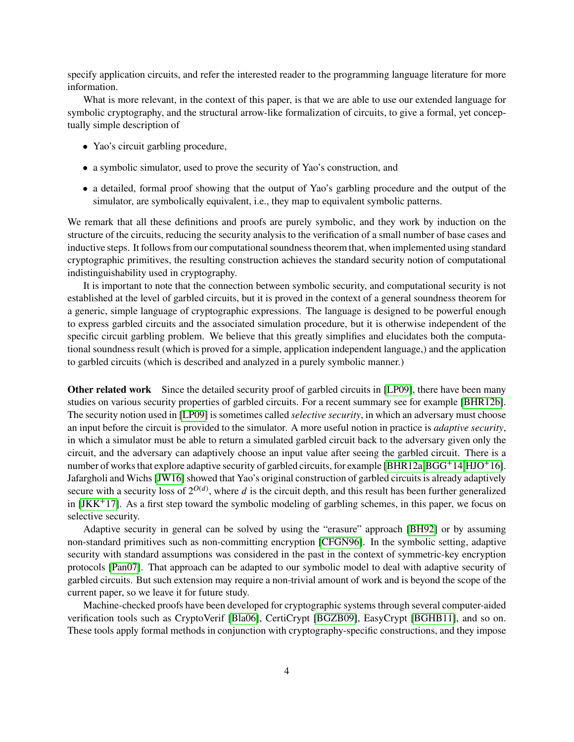specify application circuits, and refer the interested reader to the programming language literature for more information.

What is more relevant, in the context of this paper, is that we are able to use our extended language for symbolic cryptography, and the structural arrow-like formalization of circuits, to give a formal, yet conceptually simple description of

- Yao's circuit garbling procedure,
- a symbolic simulator, used to prove the security of Yao's construction, and
- a detailed, formal proof showing that the output of Yao's garbling procedure and the output of the simulator, are symbolically equivalent, i.e., they map to equivalent symbolic patterns.

We remark that all these definitions and proofs are purely symbolic, and they work by induction on the structure of the circuits, reducing the security analysis to the verification of a small number of base cases and inductive steps. It follows from our computational soundness theorem that, when implemented using standard cryptographic primitives, the resulting construction achieves the standard security notion of computational indistinguishability used in cryptography.

It is important to note that the connection between symbolic security, and computational security is not established at the level of garbled circuits, but it is proved in the context of a general soundness theorem for a generic, simple language of cryptographic expressions. The language is designed to be powerful enough to express garbled circuits and the associated simulation procedure, but it is otherwise independent of the specific circuit garbling problem. We believe that this greatly simplifies and elucidates both the computational soundness result (which is proved for a simple, application independent language,) and the application to garbled circuits (which is described and analyzed in a purely symbolic manner.)

**Other related work** Since the detailed security proof of garbled circuits in [\[LP09\]](#page-25-2), there have been many studies on various security properties of garbled circuits. For a recent summary see for example [\[BHR12b\]](#page-24-4). The security notion used in [\[LP09\]](#page-25-2) is sometimes called *selective security*, in which an adversary must choose an input before the circuit is provided to the simulator. A more useful notion in practice is *adaptive security*, in which a simulator must be able to return a simulated garbled circuit back to the adversary given only the circuit, and the adversary can adaptively choose an input value after seeing the garbled circuit. There is a number of works that explore adaptive security of garbled circuits, for example [\[BHR12a,](#page-24-5) [BGG](#page-23-2)<sup>+</sup>14, HJO<sup>+</sup>16]. Jafargholi and Wichs [\[JW16\]](#page-25-9) showed that Yao's original construction of garbled circuits is already adaptively secure with a security loss of  $2^{O(d)}$ , where *d* is the circuit depth, and this result has been further generalized in  $[JKK<sup>+</sup>17]$  $[JKK<sup>+</sup>17]$ . As a first step toward the symbolic modeling of garbling schemes, in this paper, we focus on selective security.

Adaptive security in general can be solved by using the "erasure" approach [\[BH92\]](#page-24-6) or by assuming non-standard primitives such as non-committing encryption [\[CFGN96\]](#page-25-11). In the symbolic setting, adaptive security with standard assumptions was considered in the past in the context of symmetric-key encryption protocols [\[Pan07\]](#page-26-5). That approach can be adapted to our symbolic model to deal with adaptive security of garbled circuits. But such extension may require a non-trivial amount of work and is beyond the scope of the current paper, so we leave it for future study.

Machine-checked proofs have been developed for cryptographic systems through several computer-aided verification tools such as CryptoVerif [\[Bla06\]](#page-24-7), CertiCrypt [\[BGZB09\]](#page-24-8), EasyCrypt [\[BGHB11\]](#page-24-9), and so on. These tools apply formal methods in conjunction with cryptography-specific constructions, and they impose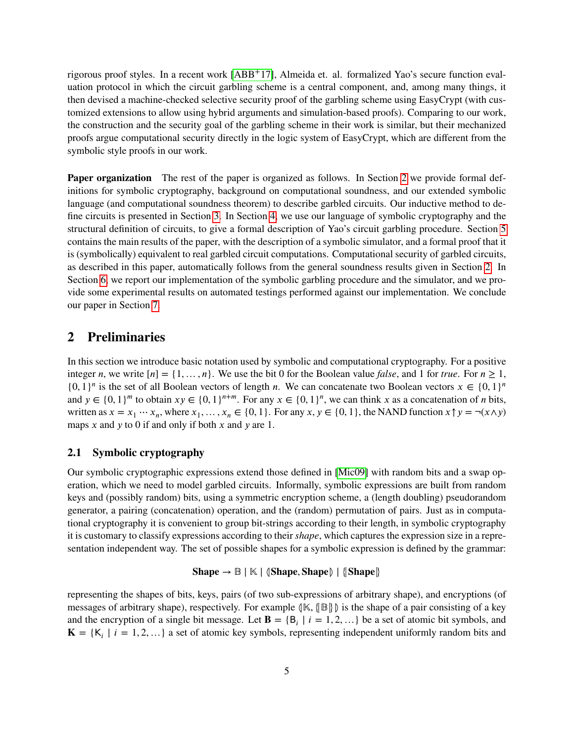rigorous proof styles. In a recent work [\[ABB](#page-23-3)+17], Almeida et. al. formalized Yao's secure function evaluation protocol in which the circuit garbling scheme is a central component, and, among many things, it then devised a machine-checked selective security proof of the garbling scheme using EasyCrypt (with customized extensions to allow using hybrid arguments and simulation-based proofs). Comparing to our work, the construction and the security goal of the garbling scheme in their work is similar, but their mechanized proofs argue computational security directly in the logic system of EasyCrypt, which are different from the symbolic style proofs in our work.

**Paper organization** The rest of the paper is organized as follows. In Section [2](#page-4-0) we provide formal definitions for symbolic cryptography, background on computational soundness, and our extended symbolic language (and computational soundness theorem) to describe garbled circuits. Our inductive method to define circuits is presented in Section [3.](#page-10-0) In Section [4,](#page-13-0) we use our language of symbolic cryptography and the structural definition of circuits, to give a formal description of Yao's circuit garbling procedure. Section [5](#page-16-0) contains the main results of the paper, with the description of a symbolic simulator, and a formal proof that it is (symbolically) equivalent to real garbled circuit computations. Computational security of garbled circuits, as described in this paper, automatically follows from the general soundness results given in Section [2.](#page-4-0) In Section [6,](#page-21-0) we report our implementation of the symbolic garbling procedure and the simulator, and we provide some experimental results on automated testings performed against our implementation. We conclude our paper in Section [7.](#page-22-0)

# <span id="page-4-0"></span>**2 Preliminaries**

In this section we introduce basic notation used by symbolic and computational cryptography. For a positive integer *n*, we write  $[n] = \{1, \ldots, n\}$ . We use the bit 0 for the Boolean value *false*, and 1 for *true*. For  $n \ge 1$ ,  $\{0, 1\}^n$  is the set of all Boolean vectors of length *n*. We can concatenate two Boolean vectors  $x \in \{0, 1\}^n$ and  $y \in \{0, 1\}^m$  to obtain  $xy \in \{0, 1\}^{n+m}$ . For any  $x \in \{0, 1\}^n$ , we can think x as a concatenation of *n* bits, written as  $x = x_1 \cdots x_n$ , where  $x_1, \ldots, x_n \in \{0, 1\}$ . For any  $x, y \in \{0, 1\}$ , the NAND function  $x \uparrow y = \neg(x \wedge y)$ maps *x* and *y* to 0 if and only if both *x* and *y* are 1.

#### <span id="page-4-1"></span>**2.1 Symbolic cryptography**

Our symbolic cryptographic expressions extend those defined in [\[Mic09\]](#page-25-4) with random bits and a swap operation, which we need to model garbled circuits. Informally, symbolic expressions are built from random keys and (possibly random) bits, using a symmetric encryption scheme, a (length doubling) pseudorandom generator, a pairing (concatenation) operation, and the (random) permutation of pairs. Just as in computational cryptography it is convenient to group bit-strings according to their length, in symbolic cryptography it is customary to classify expressions according to their *shape*, which captures the expression size in a representation independent way. The set of possible shapes for a symbolic expression is defined by the grammar:

#### **Shape** →  $\mathbb{B}$  |  $\mathbb{K}$  | (Shape, Shape) | {Shape}

representing the shapes of bits, keys, pairs (of two sub-expressions of arbitrary shape), and encryptions (of messages of arbitrary shape), respectively. For example  $(\mathbb{K}, \{\mathbb{B}\})$  is the shape of a pair consisting of a key and the encryption of a single bit message. Let  $\mathbf{B} = \{B_i \mid i = 1, 2, ...\}$  be a set of atomic bit symbols, and  **a set of atomic key symbols, representing independent uniformly random bits and**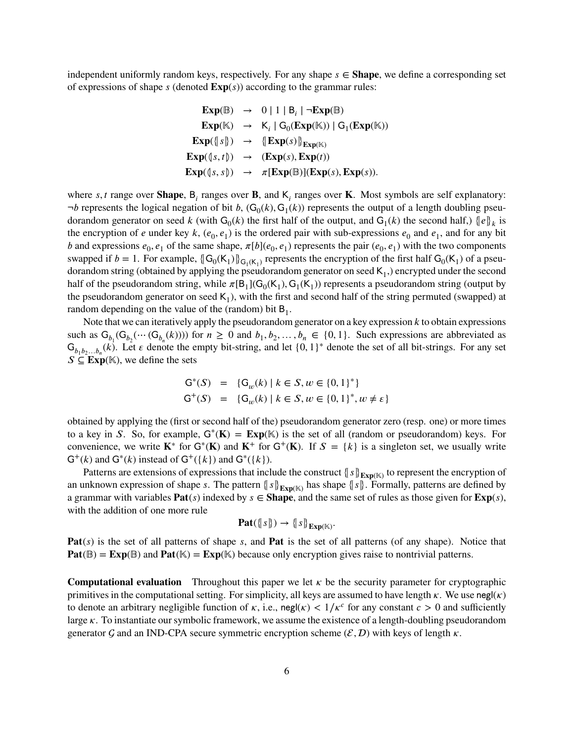independent uniformly random keys, respectively. For any shape  $s \in$  **Shape**, we define a corresponding set of expressions of shape  $s$  (denoted  $\text{Exp}(s)$ ) according to the grammar rules:

$$
\begin{array}{rcl}\n\text{Exp}(\mathbb{B}) & \rightarrow & 0 \mid 1 \mid \mathsf{B}_i \mid \neg \text{Exp}(\mathbb{B}) \\
& \text{Exp}(\mathbb{K}) & \rightarrow & \mathsf{K}_i \mid \mathsf{G}_0(\text{Exp}(\mathbb{K})) \mid \mathsf{G}_1(\text{Exp}(\mathbb{K})) \\
\text{Exp}(\llbracket s \rrbracket) & \rightarrow & \llbracket \text{Exp}(s) \rrbracket_{\text{Exp}(\mathbb{K})} \\
\text{Exp}(\llbracket s, t \rrbracket) & \rightarrow & \text{Exp}(s), \text{Exp}(t)) \\
\text{Exp}(\llbracket s, s \rrbracket) & \rightarrow & \pi[\text{Exp}(\mathbb{B})](\text{Exp}(s), \text{Exp}(s)).\n\end{array}
$$

where *s*, *t* range over **Shape**, **B**<sub>*i*</sub> ranges over **B**, and **K**<sub>*i*</sub> ranges over **K**. Most symbols are self explanatory:  $\neg b$  represents the logical negation of bit *b*,  $(G_0(k), G_1(k))$  represents the output of a length doubling pseudorandom generator on seed *k* (with  $G_0(k)$  the first half of the output, and  $G_1(k)$  the second half,)  $\{e\}_k$  is the encryption of *e* under key  $k$ ,  $(e_0, e_1)$  is the ordered pair with sub-expressions  $e_0$  and  $e_1$ , and for any bit *b* and expressions  $e_0$ ,  $e_1$  of the same shape,  $\pi[b](e_0, e_1)$  represents the pair  $(e_0, e_1)$  with the two components swapped if  $b = 1$ . For example,  $[G_0(K_1)]_{G_1(K_1)}$  represents the encryption of the first half  $G_0(K_1)$  of a pseudorandom string (obtained by applying the pseudorandom generator on seed  $K_1$ ) encrypted under the second half of the pseudorandom string, while  $\pi[\mathsf{B}_1](\mathsf{G}_0(\mathsf{K}_1),\mathsf{G}_1(\mathsf{K}_1))$  represents a pseudorandom string (output by the pseudorandom generator on seed  $K_1$ ), with the first and second half of the string permuted (swapped) at random depending on the value of the (random) bit  $B_1$ .

Note that we can iteratively apply the pseudorandom generator on a key expression  $k$  to obtain expressions such as  $G_{b_1}(G_{b_2}(\cdots(G_{b_n}(k))))$  for  $n \ge 0$  and  $b_1, b_2, \ldots, b_n \in \{0, 1\}$ . Such expressions are abbreviated as  $G_{b_1b_2...b_n}(k)$ . Let  $\varepsilon$  denote the empty bit-string, and let  $\{0,1\}^*$  denote the set of all bit-strings. For any set *S* ⊆ **Exp**( $\mathbb{K}$ ), we define the sets

$$
G^*(S) = {G_w(k) | k \in S, w \in \{0, 1\}^*}
$$
  

$$
G^+(S) = {G_w(k) | k \in S, w \in \{0, 1\}^*, w \neq \varepsilon}
$$

obtained by applying the (first or second half of the) pseudorandom generator zero (resp. one) or more times to a key in *S*. So, for example,  $G^*(K) = Exp(K)$  is the set of all (random or pseudorandom) keys. For convenience, we write  $K^*$  for  $G^*(K)$  and  $K^+$  for  $G^+(K)$ . If  $S = \{k\}$  is a singleton set, we usually write  $G^+(k)$  and  $G^*(k)$  instead of  $G^+(\{k\})$  and  $G^*(\{k\})$ .

Patterns are extensions of expressions that include the construct  $\{ [s] \}_{\text{Exp}(\mathbb{K})}$  to represent the encryption of an unknown expression of shape *s*. The pattern  $[s]_{\text{Exn}(\mathbb{K})}$  has shape  $[s]$ . Formally, patterns are defined by a grammar with variables  $\textbf{Pat}(s)$  indexed by  $s \in \textbf{Shape}$ , and the same set of rules as those given for  $\textbf{Exp}(s)$ , with the addition of one more rule

$$
\mathbf{Pat}(\{\!\!\{\,s\,\!\!\}\}) \rightarrow \{\!\!\{\,s\,\!\!\}_{\mathbf{Exp}(\mathbb{K})}.
$$

**Pat**(*s*) is the set of all patterns of shape *s*, and **Pat** is the set of all patterns (of any shape). Notice that  $\textbf{Pat}(\mathbb{B}) = \textbf{Exp}(\mathbb{B})$  and  $\textbf{Pat}(\mathbb{K}) = \textbf{Exp}(\mathbb{K})$  because only encryption gives raise to nontrivial patterns.

**Computational evaluation** Throughout this paper we let  $\kappa$  be the security parameter for cryptographic primitives in the computational setting. For simplicity, all keys are assumed to have length  $\kappa$ . We use  $\text{negl}(\kappa)$ to denote an arbitrary negligible function of  $\kappa$ , i.e., negl( $\kappa$ )  $< 1/\kappa^c$  for any constant  $c > 0$  and sufficiently large  $\kappa$ . To instantiate our symbolic framework, we assume the existence of a length-doubling pseudorandom generator G and an IND-CPA secure symmetric encryption scheme  $(\mathcal{E}, \mathcal{D})$  with keys of length  $\kappa$ .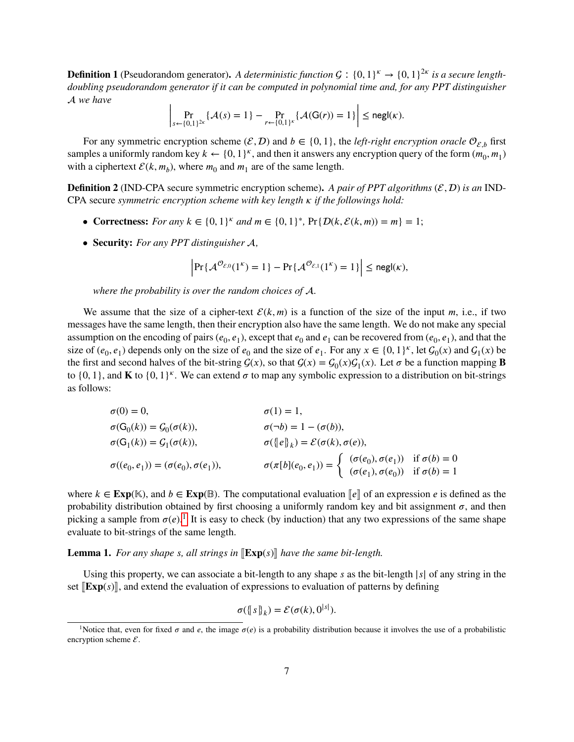**Definition 1** (Pseudorandom generator). A deterministic function  $G: \{0,1\}^k \to \{0,1\}^{2\kappa}$  is a secure length*doubling pseudorandom generator if it can be computed in polynomial time and, for any PPT distinguisher we have*

$$
\left|\Pr_{s \leftarrow \{0,1\}^{2\kappa}} \{ \mathcal{A}(s) = 1 \} - \Pr_{r \leftarrow \{0,1\}^{\kappa}} \{ \mathcal{A}(G(r)) = 1 \} \right| \le \mathsf{negl}(\kappa).
$$

For any symmetric encryption scheme  $(\mathcal{E}, \mathcal{D})$  and  $b \in \{0, 1\}$ , the *left-right encryption oracle*  $\mathcal{O}_{\mathcal{E},b}$  first samples a uniformly random key  $k \leftarrow \{0, 1\}^{\kappa}$ , and then it answers any encryption query of the form  $(m_0, m_1)$ with a ciphertext  $\mathcal{E}(k, m_b)$ , where  $m_0$  and  $m_1$  are of the same length.

**Definition 2** (IND-CPA secure symmetric encryption scheme). A pair of PPT algorithms  $(\mathcal{E}, \mathcal{D})$  is an IND-CPA secure *symmetric encryption scheme with key length*  $\kappa$  *if the followings hold:* 

- **Correctness:** *For any*  $k \in \{0, 1\}^k$  *and*  $m \in \{0, 1\}^*$ ,  $Pr\{D(k, \mathcal{E}(k, m)) = m\} = 1$ ;
- **Security:** For any PPT distinguisher  $A$ ,

$$
\left|\Pr\{\mathcal{A}^{\mathcal{O}_{\mathcal{E},0}}(1^{\kappa})=1\}-\Pr\{\mathcal{A}^{\mathcal{O}_{\mathcal{E},1}}(1^{\kappa})=1\}\right|\leq \mathsf{negl}(\kappa),
$$

*where the probability is over the random choices of A.* 

We assume that the size of a cipher-text  $\mathcal{E}(k, m)$  is a function of the size of the input *m*, i.e., if two messages have the same length, then their encryption also have the same length. We do not make any special assumption on the encoding of pairs  $(e_0, e_1)$ , except that  $e_0$  and  $e_1$  can be recovered from  $(e_0, e_1)$ , and that the size of  $(e_0, e_1)$  depends only on the size of  $e_0$  and the size of  $e_1$ . For any  $x \in \{0, 1\}^{\kappa}$ , let  $\mathcal{G}_0(x)$  and  $\mathcal{G}_1(x)$  be the first and second halves of the bit-string  $G(x)$ , so that  $G(x) = G_0(x)G_1(x)$ . Let  $\sigma$  be a function mapping **B** to  $\{0, 1\}$ , and **K** to  $\{0, 1\}^{\kappa}$ . We can extend  $\sigma$  to map any symbolic expression to a distribution on bit-strings as follows:

$$
\begin{aligned}\n\sigma(0) &= 0, & \sigma(1) &= 1, \\
\sigma(G_0(k)) &= \mathcal{G}_0(\sigma(k)), & \sigma(\neg b) &= 1 - (\sigma(b)), \\
\sigma(G_1(k)) &= \mathcal{G}_1(\sigma(k)), & \sigma(\lVert e \rVert_k) &= \mathcal{E}(\sigma(k), \sigma(e)), \\
\sigma((e_0, e_1)) &= (\sigma(e_0), \sigma(e_1)), & \sigma(\pi[b](e_0, e_1)) &= \left\{ \begin{array}{cl} (\sigma(e_0), \sigma(e_1)) & \text{if } \sigma(b) = 0 \\
(\sigma(e_1), \sigma(e_0)) & \text{if } \sigma(b) = 1 \end{array} \right.\n\end{aligned}
$$

where  $k \in \text{Exp}(\mathbb{K})$ , and  $b \in \text{Exp}(\mathbb{B})$ . The computational evaluation  $\lbrack e \rbrack$  of an expression *e* is defined as the probability distribution obtained by first choosing a uniformly random key and bit assignment  $\sigma$ , and then picking a sample from  $\sigma(e)$ .<sup>[1](#page-6-0)</sup> It is easy to check (by induction) that any two expressions of the same shape evaluate to bit-strings of the same length.

**Lemma 1.** For any shape *s*, all strings in  $[\mathbf{Exp}(s)]$  have the same bit-length.

Using this property, we can associate a bit-length to any shape *s* as the bit-length |*s*| of any string in the set  $[\mathbf{Exp}(s)]$ , and extend the evaluation of expressions to evaluation of patterns by defining

$$
\sigma(\{\!\!\{s\}\!\!\}_k) = \mathcal{E}(\sigma(k), 0^{|s|}).
$$

<span id="page-6-0"></span><sup>&</sup>lt;sup>1</sup>Notice that, even for fixed  $\sigma$  and  $e$ , the image  $\sigma(e)$  is a probability distribution because it involves the use of a probabilistic encryption scheme  $\mathcal{E}$ .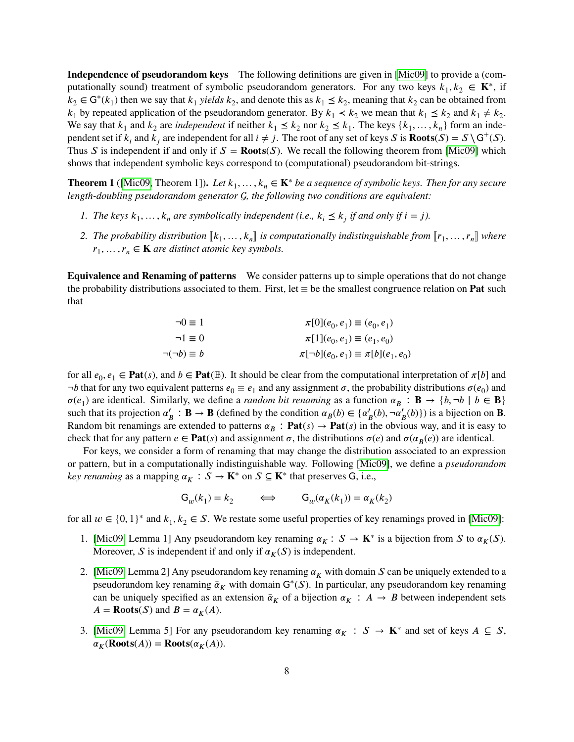**Independence of pseudorandom keys** The following definitions are given in [\[Mic09\]](#page-25-4) to provide a (computationally sound) treatment of symbolic pseudorandom generators. For any two keys  $k_1, k_2 \in \mathbf{K}^*$ , if  $k_2 \in G^*(k_1)$  then we say that  $k_1$  *yields*  $k_2$ , and denote this as  $k_1 \leq k_2$ , meaning that  $k_2$  can be obtained from  $k_1$  by repeated application of the pseudorandom generator. By  $k_1 \leq k_2$  we mean that  $k_1 \leq k_2$  and  $k_1 \neq k_2$ . We say that  $k_1$  and  $k_2$  are *independent* if neither  $k_1 \leq k_2$  nor  $k_2 \leq k_1$ . The keys  $\{k_1, \ldots, k_n\}$  form an independent set if  $k_i$  and  $k_j$  are independent for all  $i \neq j$ . The root of any set of keys *S* is **Roots**(*S*) =  $S \setminus G^+(S)$ . Thus *S* is independent if and only if  $S = \text{Roots}(S)$ . We recall the following theorem from [\[Mic09\]](#page-25-4) which shows that independent symbolic keys correspond to (computational) pseudorandom bit-strings.

<span id="page-7-0"></span>**Theorem 1** ([\[Mic09,](#page-25-4) Theorem 1]). Let  $k_1, \ldots, k_n \in \mathbf{K}^*$  be a sequence of symbolic keys. Then for any secure *length-doubling pseudorandom generator*  $C$ *, the following two conditions are equivalent:* 

- *1. The keys*  $k_1, \ldots, k_n$  *are symbolically independent (i.e.,*  $k_i \leq k_j$  *if and only if*  $i = j$ *).*
- 2. *The probability distribution*  $[\![k_1, \ldots, k_n]\!]$  *is computationally indistinguishable from*  $[\![r_1, \ldots, r_n]\!]$  where  $r_1, \ldots, r_n \in \mathbf{K}$  *are distinct atomic key symbols.*

**Equivalence and Renaming of patterns** We consider patterns up to simple operations that do not change the probability distributions associated to them. First, let  $\equiv$  be the smallest congruence relation on **Pat** such that

$$
\neg 0 \equiv 1 \qquad \qquad \pi[0](e_0, e_1) \equiv (e_0, e_1)
$$
  

$$
\neg 1 \equiv 0 \qquad \qquad \pi[1](e_0, e_1) \equiv (e_1, e_0)
$$
  

$$
\neg(\neg b) \equiv b \qquad \qquad \pi[\neg b](e_0, e_1) \equiv \pi[b](e_1, e_0)
$$

for all  $e_0, e_1 \in \textbf{Pat}(s)$ , and  $b \in \textbf{Pat}(\mathbb{B})$ . It should be clear from the computational interpretation of  $\pi[b]$  and  $\neg b$  that for any two equivalent patterns  $e_0 \equiv e_1$  and any assignment  $\sigma$ , the probability distributions  $\sigma(e_0)$  and  $\sigma(e_1)$  are identical. Similarly, we define a *random bit renaming* as a function  $\alpha_B : \mathbf{B} \to \{b, \neg b \mid b \in \mathbf{B}\}\$ such that its projection  $\alpha'$  $\mathbf{B}'_B$  :  $\mathbf{B} \to \mathbf{B}$  (defined by the condition  $\alpha_B(b) \in \{\alpha'_B\}$  $\frac{J}{B}(b)$ , ¬ $\alpha'_{I}$  $\mathcal{L}'_B(b)$ }) is a bijection on **B**. Random bit renamings are extended to patterns  $\alpha_B$ : **Pat**(*s*)  $\rightarrow$  **Pat**(*s*) in the obvious way, and it is easy to check that for any pattern  $e \in \textbf{Pat}(s)$  and assignment  $\sigma$ , the distributions  $\sigma(e)$  and  $\sigma(\alpha_R(e))$  are identical.

For keys, we consider a form of renaming that may change the distribution associated to an expression or pattern, but in a computationally indistinguishable way. Following [\[Mic09\]](#page-25-4), we define a *pseudorandom key renaming* as a mapping  $\alpha_K : S \to \mathbf{K}^*$  on  $S \subseteq \mathbf{K}^*$  that preserves G, i.e.,

$$
\mathsf{G}_w(k_1) = k_2 \qquad \Longleftrightarrow \qquad \mathsf{G}_w(\alpha_K(k_1)) = \alpha_K(k_2)
$$

for all  $w \in \{0, 1\}^*$  and  $k_1, k_2 \in S$ . We restate some useful properties of key renamings proved in [\[Mic09\]](#page-25-4):

- 1. [\[Mic09,](#page-25-4) Lemma 1] Any pseudorandom key renaming  $\alpha_K : S \to \mathbf{K}^*$  is a bijection from *S* to  $\alpha_K(S)$ . Moreover, *S* is independent if and only if  $\alpha_K(S)$  is independent.
- 2. [\[Mic09,](#page-25-4) Lemma 2] Any pseudorandom key renaming  $\alpha_K$  with domain *S* can be uniquely extended to a pseudorandom key renaming  $\bar{\alpha}_K$  with domain  $G^*(S)$ . In particular, any pseudorandom key renaming can be uniquely specified as an extension  $\bar{\alpha}_K$  of a bijection  $\alpha_K : A \rightarrow B$  between independent sets  $A = \text{Roots}(S)$  and  $B = \alpha_K(A)$ .
- 3. [\[Mic09,](#page-25-4) Lemma 5] For any pseudorandom key renaming  $\alpha_K : S \to \mathbf{K}^*$  and set of keys  $A \subseteq S$ ,  $\alpha_K(\text{Roots}(A)) = \text{Roots}(\alpha_K(A)).$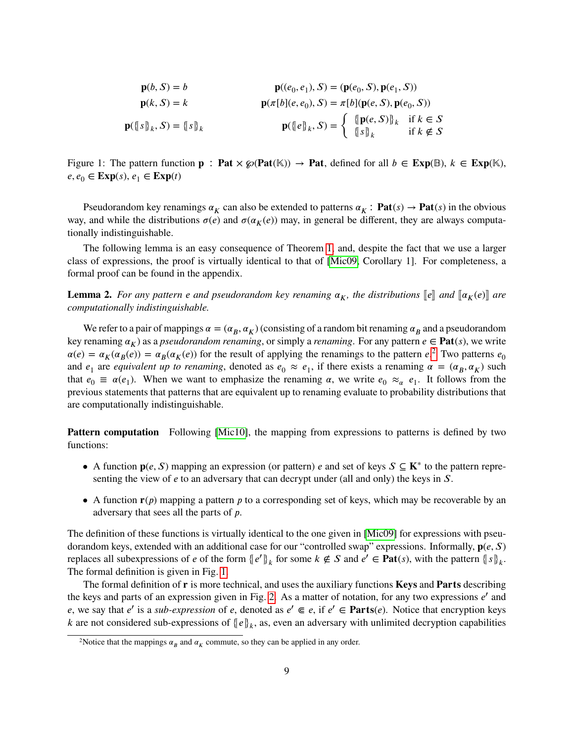$$
\mathbf{p}(b, S) = b
$$
\n
$$
\mathbf{p}(k, S) = k
$$
\n
$$
\mathbf{p}(\pi[b](e, e_0), S) = \pi[b](\mathbf{p}(e, S), \mathbf{p}(e_1, S))
$$
\n
$$
\mathbf{p}(\{\sigma[s]_k, S) = \{\sigma[s]_k\}
$$
\n
$$
\mathbf{p}(\{\sigma[s]_k, S) = \{\sigma[s]_k\}
$$
\n
$$
\mathbf{p}(\{\sigma[s]_k, S) = \{\sigma[s]_k\}
$$
\n
$$
\mathbf{p}(\{\sigma[s]_k, S) = \{\sigma[s]_k\}
$$
\n
$$
\mathbf{p}(\{\sigma[s]_k, S) = \{\sigma[s]_k\}
$$
\n
$$
\mathbf{p}(\{\sigma[s]_k, S) = \{\sigma[s]_k\}
$$
\n
$$
\mathbf{p}(\{\sigma[s]_k, S) = \{\sigma[s]_k\}
$$
\n
$$
\mathbf{p}(\{\sigma[s]_k, S) = \{\sigma[s]_k\}
$$
\n
$$
\mathbf{p}(\{\sigma[s]_k\}, S) = \{\sigma[s]_k\}
$$

<span id="page-8-1"></span>Figure 1: The pattern function **p** : **Pat**  $\times$  ⊗(Pat(<sup> $K$ </sup>))  $\rightarrow$  Pat, defined for all  $b \in Exp(E)$ ,  $k \in Exp(K)$ ,  $e, e_0 \in \text{Exp}(s), e_1 \in \text{Exp}(t)$ 

Pseudorandom key renamings  $\alpha_K$  can also be extended to patterns  $\alpha_K$ : **Pat**(*s*)  $\rightarrow$  **Pat**(*s*) in the obvious way, and while the distributions  $\sigma(e)$  and  $\sigma(\alpha_K(e))$  may, in general be different, they are always computationally indistinguishable.

The following lemma is an easy consequence of Theorem [1,](#page-7-0) and, despite the fact that we use a larger class of expressions, the proof is virtually identical to that of [\[Mic09,](#page-25-4) Corollary 1]. For completeness, a formal proof can be found in the appendix.

**Lemma 2.** For any pattern *e* and pseudorandom key renaming  $\alpha_K$ , the distributions  $\llbracket e \rrbracket$  and  $\llbracket \alpha_K(e) \rrbracket$  are *computationally indistinguishable.*

We refer to a pair of mappings  $\alpha = (\alpha_B, \alpha_K)$  (consisting of a random bit renaming  $\alpha_B$  and a pseudorandom key renaming  $\alpha_K$ ) as a *pseudorandom renaming*, or simply a *renaming*. For any pattern  $e \in \text{Pat}(s)$ , we write  $\alpha(e) = \alpha_K(\alpha_B(e)) = \alpha_B(\alpha_K(e))$  for the result of applying the renamings to the pattern *e*.<sup>[2](#page-8-0)</sup> Two patterns *e*<sub>0</sub> and  $e_1$  are *equivalent up to renaming*, denoted as  $e_0 \approx e_1$ , if there exists a renaming  $\alpha = (\alpha_B, \alpha_K)$  such that  $e_0 \equiv \alpha(e_1)$ . When we want to emphasize the renaming  $\alpha$ , we write  $e_0 \approx_\alpha e_1$ . It follows from the previous statements that patterns that are equivalent up to renaming evaluate to probability distributions that are computationally indistinguishable.

**Pattern computation** Following [\[Mic10\]](#page-25-3), the mapping from expressions to patterns is defined by two functions:

- A function  $\mathbf{p}(e, S)$  mapping an expression (or pattern) *e* and set of keys  $S \subseteq \mathbf{K}^*$  to the pattern representing the view of *e* to an adversary that can decrypt under (all and only) the keys in *S*.
- A function  $\mathbf{r}(p)$  mapping a pattern  $p$  to a corresponding set of keys, which may be recoverable by an adversary that sees all the parts of *p*.

The definition of these functions is virtually identical to the one given in [\[Mic09\]](#page-25-4) for expressions with pseudorandom keys, extended with an additional case for our "controlled swap" expressions. Informally,  $\mathbf{p}(e, S)$ replaces all subexpressions of *e* of the form  $\llbracket e' \rrbracket_k$  for some  $k \notin S$  and  $e' \in \textbf{Pat}(s)$ , with the pattern  $\llbracket s \rrbracket_k$ . The formal definition is given in Fig. [1.](#page-8-1)

The formal definition of **r** is more technical, and uses the auxiliary functions **Keys** and **Parts** describing the keys and parts of an expression given in Fig. [2.](#page-9-0) As a matter of notation, for any two expressions *e'* and *e*, we say that *e'* is a *sub-expression* of *e*, denoted as *e'* ∈ *e*, if *e'* ∈ **Parts**(*e*). Notice that encryption keys *k* are not considered sub-expressions of  $\llbracket e \rrbracket_k$ , as, even an adversary with unlimited decryption capabilities

<span id="page-8-0"></span><sup>&</sup>lt;sup>2</sup>Notice that the mappings  $\alpha_B$  and  $\alpha_K$  commute, so they can be applied in any order.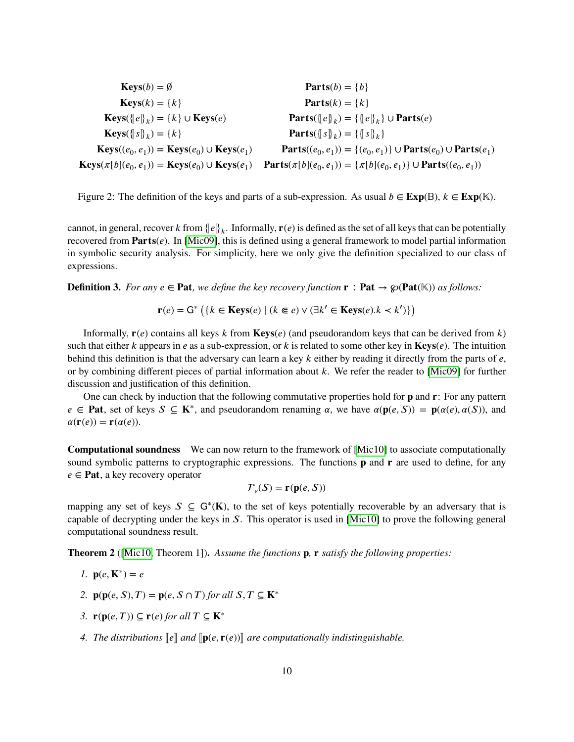$\textbf{K} \textbf{e} \textbf{y} \textbf{s}(b) = \emptyset$  **Parts** $(b) = \{b\}$ **Example 1**  $k$  = { $k$ } **Parts**( $k$ ) = { $k$ }  $\textbf{K} \textbf{e} \textbf{y} = \{k\} \cup \textbf{K} \textbf{e} \textbf{y} \textbf{s}(\textbf{e})$   $\textbf{Parts}(\{\textbf{e}\}_{k})$ ) = { {|*e* }<sub>*k*</sub> } ∪ **Parts**(*e*)  $\textbf{Keys}(\{ s \}_k) = \{ k \}$  $) = {k}$  **Parts** $(\{s\})_k$  = { $\{[s\}]_k$ }  $\textbf{Keys}((e_0, e_1)) = \textbf{Keys}(e_0) \cup \textbf{Keys}(e_1)$ (*o*<sub>0</sub>, *e*<sub>1</sub>) = {(*e*<sub>0</sub>, *e*<sub>1</sub>)} ∪ **Parts**(*e*<sub>0</sub>) ∪ **Parts**(*e*<sub>1</sub>)  $\text{Keys}(\pi[b](e_0, e_1)) = \text{Keys}(e_0) \cup \text{Keys}(e_1)$   $\text{Parts}(\pi[b](e_0, e_1)) = {\pi[b](e_0, e_1)} \cup \text{Parts}((e_0, e_1))$ 

<span id="page-9-0"></span>Figure 2: The definition of the keys and parts of a sub-expression. As usual  $b \in \text{Exp}(\mathbb{B})$ ,  $k \in \text{Exp}(\mathbb{K})$ .

cannot, in general, recover *k* from  $\llbracket e \rrbracket_k$ . Informally,  $\mathbf{r}(e)$  is defined as the set of all keys that can be potentially recovered from  $Parts(e)$ . In [\[Mic09\]](#page-25-4), this is defined using a general framework to model partial information in symbolic security analysis. For simplicity, here we only give the definition specialized to our class of expressions.

**Definition 3.** *For any*  $e \in \textbf{Pat}$ *, we define the key recovery function*  $\mathbf{r} : \textbf{Pat} \rightarrow \mathcal{G}(\textbf{Pat}(\mathbb{K}))$  *as follows:* 

$$
\mathbf{r}(e) = \mathbf{G}^* \left( \{ k \in \mathbf{Keys}(e) \mid (k \in e) \lor (\exists k' \in \mathbf{Keys}(e).k \prec k') \} \right)
$$

Informally,  $\mathbf{r}(e)$  contains all keys k from **Keys** $(e)$  (and pseudorandom keys that can be derived from k) such that either  $k$  appears in  $e$  as a sub-expression, or  $k$  is related to some other key in  $\mathbf{Kevs}(e)$ . The intuition behind this definition is that the adversary can learn a key *k* either by reading it directly from the parts of *e*, or by combining different pieces of partial information about *k*. We refer the reader to [\[Mic09\]](#page-25-4) for further discussion and justification of this definition.

One can check by induction that the following commutative properties hold for **p** and **r**: For any pattern  $e \in \textbf{Pat}, \text{ set of keys } S \subseteq \mathbf{K}^*$ , and pseudorandom renaming  $\alpha$ , we have  $\alpha(\mathbf{p}(e, S)) = \mathbf{p}(\alpha(e), \alpha(S))$ , and  $\alpha(\mathbf{r}(e)) = \mathbf{r}(\alpha(e)).$ 

**Computational soundness** We can now return to the framework of [\[Mic10\]](#page-25-3) to associate computationally sound symbolic patterns to cryptographic expressions. The functions **p** and **r** are used to define, for any *e* ∈ **Pat**, a key recovery operator

$$
\mathcal{F}_e(S) = \mathbf{r}(\mathbf{p}(e, S))
$$

mapping any set of keys  $S \subseteq G^*(K)$ , to the set of keys potentially recoverable by an adversary that is capable of decrypting under the keys in *S*. This operator is used in [\[Mic10\]](#page-25-3) to prove the following general computational soundness result.

<span id="page-9-1"></span>**Theorem 2** ([\[Mic10,](#page-25-3) Theorem 1]). Assume the functions **p**, **r** satisfy the following properties:

- *1.*  $p(e, K^*) = e$
- *2.*  $$
- *3.*  $\mathbf{r}(\mathbf{p}(e,T)) \subseteq \mathbf{r}(e)$  *for all*  $T \subseteq \mathbf{K}^*$
- *4. The distributions*  $\llbracket e \rrbracket$  *and*  $\llbracket \mathbf{p}(e, \mathbf{r}(e)) \rrbracket$  *are computationally indistinguishable.*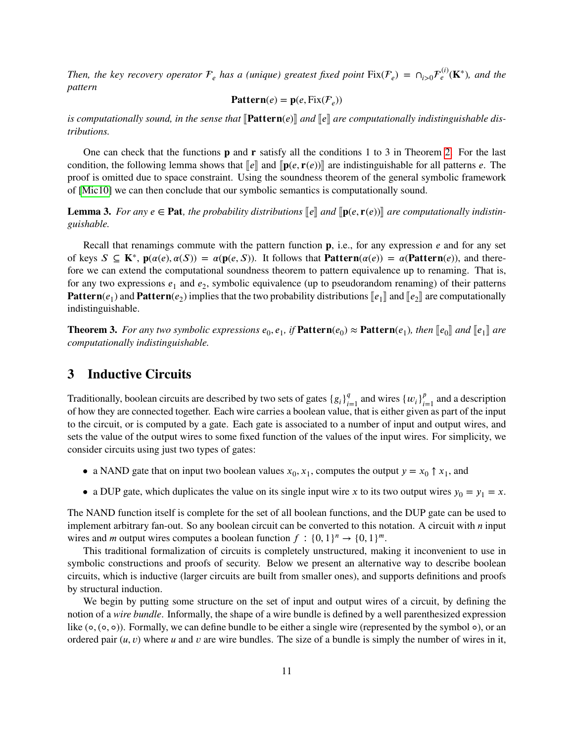*Then, the key recovery operator*  $\mathcal{F}_e$  *has a (unique) greatest fixed point*  $Fix(\mathcal{F}_e) = \cap_{i>0} \mathcal{F}_e^{(i)}(\mathbf{K}^*)$ *, and the pattern*

$$
Pattern(e) = p(e, Fix(\mathcal{F}_e))
$$

is computationally sound, in the sense that  $\mathbf{Pattern}(e)$  and  $\mathbf{[}e\mathbf{]}$  are computationally indistinguishable dis*tributions.*

One can check that the functions **p** and **r** satisfy all the conditions 1 to 3 in Theorem [2.](#page-9-1) For the last condition, the following lemma shows that  $\llbracket e \rrbracket$  and  $\llbracket \mathbf{p}(e, \mathbf{r}(e)) \rrbracket$  are indistinguishable for all patterns *e*. The proof is omitted due to space constraint. Using the soundness theorem of the general symbolic framework of [\[Mic10\]](#page-25-3) we can then conclude that our symbolic semantics is computationally sound.

**Lemma 3.** For any  $e \in \textbf{Pat}$ , the probability distributions  $\llbracket e \rrbracket$  and  $\llbracket \textbf{p}(e, \textbf{r}(e)) \rrbracket$  are computationally indistin*guishable.*

Recall that renamings commute with the pattern function **p**, i.e., for any expression *e* and for any set of keys  $S \subseteq \mathbf{K}^*$ ,  $p(\alpha(e), \alpha(S)) = \alpha(p(e, S))$ . It follows that **Pattern** $(\alpha(e)) = \alpha(\mathbf{Pattern}(e))$ , and therefore we can extend the computational soundness theorem to pattern equivalence up to renaming. That is, for any two expressions  $e_1$  and  $e_2$ , symbolic equivalence (up to pseudorandom renaming) of their patterns **Pattern**( $e_1$ ) and **Pattern**( $e_2$ ) implies that the two probability distributions  $\llbracket e_1 \rrbracket$  and  $\llbracket e_2 \rrbracket$  are computationally indistinguishable.

<span id="page-10-1"></span>**Theorem 3.** For any two symbolic expressions  $e_0, e_1$ , if  $\textbf{Pattern}(e_0) \approx \textbf{Pattern}(e_1)$ , then  $\llbracket e_0 \rrbracket$  and  $\llbracket e_1 \rrbracket$  are<br>computationally indistinguishable. *computationally indistinguishable.*

### <span id="page-10-0"></span>**3 Inductive Circuits**

Traditionally, boolean circuits are described by two sets of gates  $\{g_i\}_{i=1}^q$  and wires  $\{w_i\}_{i=1}^p$  and a description of how they are connected together. Each wire carries a boolean value, that is either given as part of the input to the circuit, or is computed by a gate. Each gate is associated to a number of input and output wires, and sets the value of the output wires to some fixed function of the values of the input wires. For simplicity, we consider circuits using just two types of gates:

- a NAND gate that on input two boolean values  $x_0$ ,  $x_1$ , computes the output  $y = x_0 \uparrow x_1$ , and
- a DUP gate, which duplicates the value on its single input wire *x* to its two output wires  $y_0 = y_1 = x$ .

The NAND function itself is complete for the set of all boolean functions, and the DUP gate can be used to implement arbitrary fan-out. So any boolean circuit can be converted to this notation. A circuit with  $n$  input wires and *m* output wires computes a boolean function  $f : \{0, 1\}^n \to \{0, 1\}^m$ .

This traditional formalization of circuits is completely unstructured, making it inconvenient to use in symbolic constructions and proofs of security. Below we present an alternative way to describe boolean circuits, which is inductive (larger circuits are built from smaller ones), and supports definitions and proofs by structural induction.

We begin by putting some structure on the set of input and output wires of a circuit, by defining the notion of a *wire bundle*. Informally, the shape of a wire bundle is defined by a well parenthesized expression like  $(\circ, (\circ, \circ))$ . Formally, we can define bundle to be either a single wire (represented by the symbol  $\circ$ ), or an ordered pair  $(u, v)$  where *u* and *v* are wire bundles. The size of a bundle is simply the number of wires in it,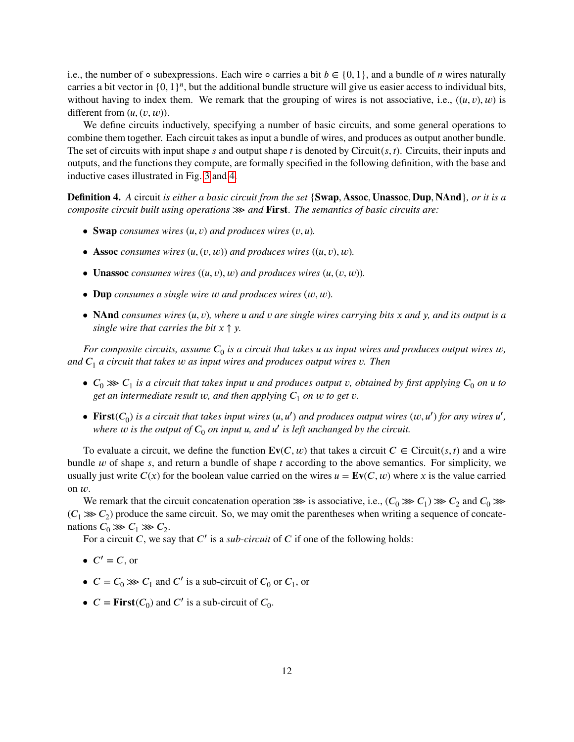i.e., the number of ∘ subexpressions. Each wire ∘ carries a bit  $b \in \{0, 1\}$ , and a bundle of *n* wires naturally carries a bit vector in  $\{0, 1\}^n$ , but the additional bundle structure will give us easier access to individual bits, without having to index them. We remark that the grouping of wires is not associative, i.e.,  $((u, v), w)$  is different from  $(u, (v, w))$ .

We define circuits inductively, specifying a number of basic circuits, and some general operations to combine them together. Each circuit takes as input a bundle of wires, and produces as output another bundle. The set of circuits with input shape *s* and output shape *t* is denoted by Circuit( $s, t$ ). Circuits, their inputs and outputs, and the functions they compute, are formally specified in the following definition, with the base and inductive cases illustrated in Fig. [3](#page-12-0) and [4.](#page-12-1)

**Definition 4.** *A* circuit *is either a basic circuit from the set* {**Swap**, **Assoc**, **Unassoc**, **Dup**, **NAnd**}*, or it is a composite circuit built using operations*  $\gg$  *and* **First**. The semantics of basic circuits are:

- **Swap** consumes wires  $(u, v)$  and produces wires  $(v, u)$ .
- **Assoc** consumes wires  $(u, (v, w))$  and produces wires  $((u, v), w)$ .
- **Unassoc** consumes wires  $((u, v), w)$  and produces wires  $(u, (v, w))$ .
- **Dup** consumes a single wire  $w$  and produces wires  $(w, w)$ .
- *•* **𝐍𝐀𝐧𝐝** *consumes wires* (*𝑢, 𝑣*)*, where 𝑢 and 𝑣 are single wires carrying bits 𝑥 and 𝑦, and its output is a single wire that carries the bit*  $x \uparrow y$ *.*

For composite circuits, assume  $C_0$  is a circuit that takes  $u$  as input wires and produces output wires  $w$ , *and 𝐶*<sup>1</sup> *a circuit that takes 𝑤 as input wires and produces output wires 𝑣. Then*

- $C_0 \ggg C_1$  *is a circuit that takes input <i>u* and produces output *v*, *obtained by first applying*  $C_0$  *on u to get an intermediate result w*, and then applying  $C_1$  *on w* to get *v*.
- First( $C_0$ ) *is a circuit that takes input wires*  $(u, u')$  *and produces output wires*  $(w, u')$  *for any wires*  $u'$ *,* where  $w$  is the output of  $C_0$  on input  $u$ , and  $u'$  is left unchanged by the circuit.

To evaluate a circuit, we define the function  $\mathbf{Ev}(C, w)$  that takes a circuit  $C \in \text{Circuit}(s, t)$  and a wire bundle *w* of shape *s*, and return a bundle of shape *t* according to the above semantics. For simplicity, we usually just write  $C(x)$  for the boolean value carried on the wires  $u = Ev(C, w)$  where x is the value carried on  $w$ .

We remark that the circuit concatenation operation  $\gg$  is associative, i.e.,  $(C_0 \ggg C_1) \ggg C_2$  and  $C_0 \ggg$  $(C_1 \ggg C_2)$  produce the same circuit. So, we may omit the parentheses when writing a sequence of concatenations  $C_0 \ggg C_1 \ggg C_2$ .

For a circuit *C*, we say that *C'* is a *sub-circuit* of *C* if one of the following holds:

- $C' = C$ , or
- $C = C_0 \ggg C_1$  and  $C'$  is a sub-circuit of  $C_0$  or  $C_1$ , or
- $C = \text{First}(C_0)$  and  $C'$  is a sub-circuit of  $C_0$ .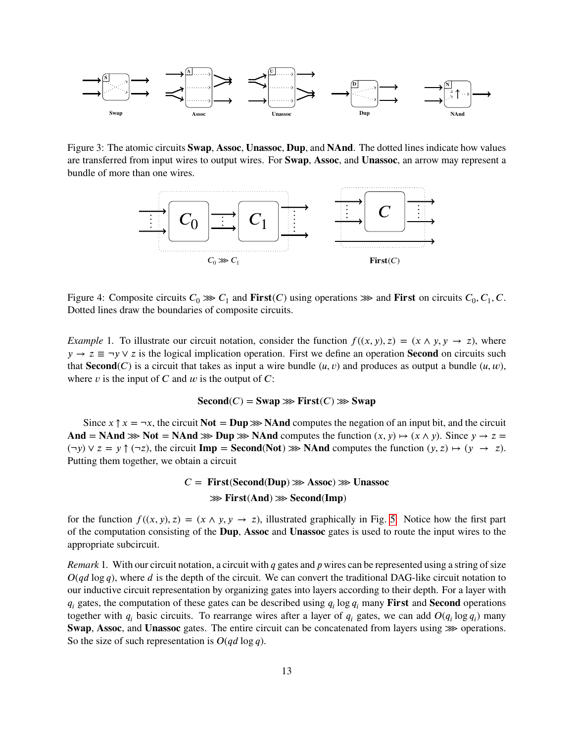

<span id="page-12-0"></span>Figure 3: The atomic circuits **Swap, Assoc, Unassoc, Dup,** and **NAnd**. The dotted lines indicate how values are transferred from input wires to output wires. For **Swap**, **Assoc**, and **Unassoc**, an arrow may represent a bundle of more than one wires.



<span id="page-12-1"></span>Figure 4: Composite circuits  $C_0 \ggg C_1$  and **First**(*C*) using operations  $\ggg$  and **First** on circuits  $C_0, C_1, C$ . Dotted lines draw the boundaries of composite circuits.

*Example* 1. To illustrate our circuit notation, consider the function  $f((x, y), z) = (x \wedge y, y \rightarrow z)$ , where *y* → *z*  $\equiv$   $\neg$ *y*  $\lor$  *z* is the logical implication operation. First we define an operation **Second** on circuits such that **Second**(*C*) is a circuit that takes as input a wire bundle  $(u, v)$  and produces as output a bundle  $(u, w)$ , where  $\nu$  is the input of  $C$  and  $\omega$  is the output of  $C$ :

#### $\textbf{Second}(C) = \textbf{Swap} \gg \textbf{First}(C) \gg \textbf{Swap}$

Since  $x \uparrow x = \neg x$ , the circuit **Not = Dup**  $\gg$  **NAnd** computes the negation of an input bit, and the circuit **And** = **NAnd** ≫ Not = **NAnd** ≫ Dup ≫ NAnd computes the function  $(x, y) \mapsto (x \wedge y)$ . Since  $y \rightarrow z =$  $(\neg y) \lor z = y \uparrow (\neg z)$ , the circuit **Imp = Second**(**Not**)  $\gg$  **NAnd** computes the function  $(y, z) \mapsto (y \rightarrow z)$ . Putting them together, we obtain a circuit

## $$  $\gg$  **First(And)** $\gg$  **Second(Imp)**

for the function  $f((x, y), z) = (x \wedge y, y \rightarrow z)$ , illustrated graphically in Fig. [5.](#page-13-1) Notice how the first part of the computation consisting of the **Dup, Assoc** and **Unassoc** gates is used to route the input wires to the appropriate subcircuit.

*Remark* 1. With our circuit notation, a circuit with *q* gates and *p* wires can be represented using a string of size  $O(qd \log q)$ , where *d* is the depth of the circuit. We can convert the traditional DAG-like circuit notation to our inductive circuit representation by organizing gates into layers according to their depth. For a layer with  $q_i$  gates, the computation of these gates can be described using  $q_i \log q_i$  many **First** and **Second** operations together with  $q_i$  basic circuits. To rearrange wires after a layer of  $q_i$  gates, we can add  $O(q_i \log q_i)$  many **Swap, Assoc, and <b>Unassoc** gates. The entire circuit can be concatenated from layers using  $\gg$  operations. So the size of such representation is  $O(qd \log q)$ .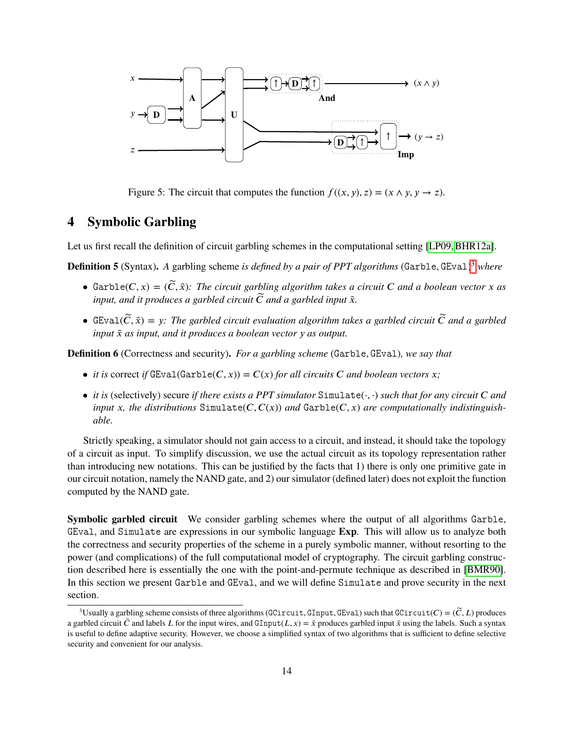

<span id="page-13-1"></span>Figure 5: The circuit that computes the function  $f((x, y), z) = (x \wedge y, y \rightarrow z)$ .

# <span id="page-13-0"></span>**4 Symbolic Garbling**

Let us first recall the definition of circuit garbling schemes in the computational setting [\[LP09,](#page-25-2) [BHR12a\]](#page-24-5).

**Definition 5** (Syntax). A garbling scheme *is defined by a pair of PPT algorithms* (Garble, GEval)<sup>[3](#page-13-2)</sup> where

- Garble $(C, x) = (\widetilde{C}, \widetilde{x})$ : The circuit garbling algorithm takes a circuit *C* and a boolean vector *x* as *input, and it produces a garbled circuit*  $\widetilde{C}$  *and a garbled input*  $\widetilde{x}$ *.*
- $GExal(\widetilde{C}, \widetilde{x}) = y$ : The garbled circuit evaluation algorithm takes a garbled circuit  $\widetilde{C}$  and a garbled *input ̃𝑥 as input, and it produces a boolean vector 𝑦 as output.*

**Definition 6** (Correctness and security). *For a garbling scheme* (Garble, GEval), we say that

- *it is* correct *if*  $GEval(Garble(C, x)) = C(x)$  *for all circuits C and boolean vectors x*;
- *it is* (selectively) secure *if there exists a PPT simulator* Simulate( $·$ , ·) *such that for any circuit C and input x*, the distributions  $Simulate(C, C(x))$  and  $Garble(C, x)$  are computationally indistinguish*able.*

Strictly speaking, a simulator should not gain access to a circuit, and instead, it should take the topology of a circuit as input. To simplify discussion, we use the actual circuit as its topology representation rather than introducing new notations. This can be justified by the facts that 1) there is only one primitive gate in our circuit notation, namely the NAND gate, and 2) our simulator (defined later) does not exploit the function computed by the NAND gate.

**Symbolic garbled circuit** We consider garbling schemes where the output of all algorithms Garble, GEval, and Simulate are expressions in our symbolic language **Exp**. This will allow us to analyze both the correctness and security properties of the scheme in a purely symbolic manner, without resorting to the power (and complications) of the full computational model of cryptography. The circuit garbling construction described here is essentially the one with the point-and-permute technique as described in [\[BMR90\]](#page-24-10). In this section we present Garble and GEval, and we will define Simulate and prove security in the next section.

<span id="page-13-2"></span><sup>&</sup>lt;sup>3</sup>Usually a garbling scheme consists of three algorithms (GCircuit, GInput, GEval) such that GCircuit( $C$ ) = ( $\tilde{C}$ , L) produces a garbled circuit  $\tilde{C}$  and labels *L* for the input wires, and  $GInput(L, x) = \tilde{x}$  produces garbled input  $\tilde{x}$  using the labels. Such a syntax is useful to define adaptive security. However, we choose a simplified syntax of two algorithms that is sufficient to define selective security and convenient for our analysis.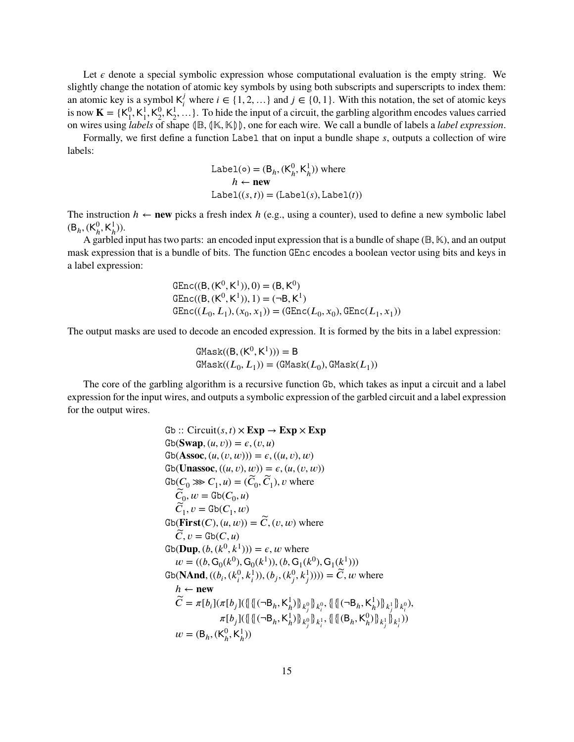Let  $\epsilon$  denote a special symbolic expression whose computational evaluation is the empty string. We slightly change the notation of atomic key symbols by using both subscripts and superscripts to index them: an atomic key is a symbol  $K_i^j$  where  $i \in \{1, 2, ...\}$  and  $j \in \{0, 1\}$ . With this notation, the set of atomic keys is now  $\mathbf{K} = \{K_1^0\}$  $^{0}_{1}$ , K<sub>1</sub>  $^{1}_{1}$ , K<sub>2</sub><sup>0</sup>  $^{0}_{2}$ , K<sub>1</sub><sup>1</sup>  $\frac{1}{2}$ , ...}. To hide the input of a circuit, the garbling algorithm encodes values carried on wires using *labels* of shape  $(\mathbb{B}, (\mathbb{K}, \mathbb{K}))$ , one for each wire. We call a bundle of labels a *label expression*.

Formally, we first define a function Label that on input a bundle shape *s*, outputs a collection of wire labels:

Label(o) = 
$$
(B_h, (K_h^0, K_h^1))
$$
 where  
\n $h \leftarrow$  new  
\nLabel $((s, t))$  = (Label $(s)$ , Label $(t)$ )

The instruction  $h \leftarrow$  **new** picks a fresh index  $h$  (e.g., using a counter), used to define a new symbolic label  $(\mathsf{B}_h, (\mathsf{K}_h^0))$  $_h^0$ , K $_h^1$ *h*<sup>)).</sup>

A garbled input has two parts: an encoded input expression that is a bundle of shape ( $\mathbb{B}, \mathbb{K}$ ), and an output mask expression that is a bundle of bits. The function GEnc encodes a boolean vector using bits and keys in a label expression:

$$
GEnc((B, (K^0, K^1)), 0) = (B, K^0)
$$
  
\n
$$
GEnc((B, (K^0, K^1)), 1) = (\neg B, K^1)
$$
  
\n
$$
GEnc((L_0, L_1), (x_0, x_1)) = (GEnc(L_0, x_0), GEnc(L_1, x_1))
$$

The output masks are used to decode an encoded expression. It is formed by the bits in a label expression:

$$
\begin{aligned} &\text{GMask}((\mathsf{B},(\mathsf{K}^0,\mathsf{K}^1))) = \mathsf{B} \\ &\text{GMask}((L_0,L_1)) = (\text{GMask}(L_0),\text{GMask}(L_1)) \end{aligned}
$$

The core of the garbling algorithm is a recursive function Gb, which takes as input a circuit and a label expression for the input wires, and outputs a symbolic expression of the garbled circuit and a label expression for the output wires.

GE 3: Circuit(s, t) × **Exp** → **Exp** × **Exp**

\nGb(**Swap**, (u, v)) = 
$$
\epsilon
$$
, (v, u)

\nGb(**Assoc**, (u, (v, w))) =  $\epsilon$ , ((u, v), w)

\nGb(**Unassoc**, ((u, v), w)) =  $\epsilon$ , (u, (v, w))

\nGb( $C_0 \gg C_1, u$ ) = ( $\widetilde{C}_0, \widetilde{C}_1$ ), v where

\n $\widetilde{C}_0, w = \text{Gb}(C_0, u)$ 

\n $\widetilde{C}_1, v = \text{Gb}(C_1, w)$ 

\nGb(**First**(C), (u, w)) =  $\widetilde{C}$ , (v, w) where

\n $\widetilde{C}, v = \text{Gb}(C, u)$ 

\nGb(**Dup**, (b, (k<sup>0</sup>, k<sup>1</sup>))) =  $\epsilon$ , w where

\n $w = ((b, G_0(k^0), G_0(k^1)), (b, G_1(k^0), G_1(k^1)))$ 

\nGb(**NAnd**, ((b<sub>i</sub>, (k<sup>0</sup>, k<sup>1</sup>)), (b<sub>j</sub>, (k<sup>0</sup>, k<sup>1</sup>))) =  $\widetilde{C}$ , w where

\n $h \leftarrow$  new

\n $\widetilde{C} = \pi[b_i](\pi[b_j] (\{\{(\neg B_h, K_h^1)\}_{k^0_j})_{k^0_j}, \{\{\neg (B_h, K_h^1)\}_{k^1_j})_{k^1_j}\}_{k^1_j})$ 

\n $w = (B_h, (K_h^0, K_h^1))$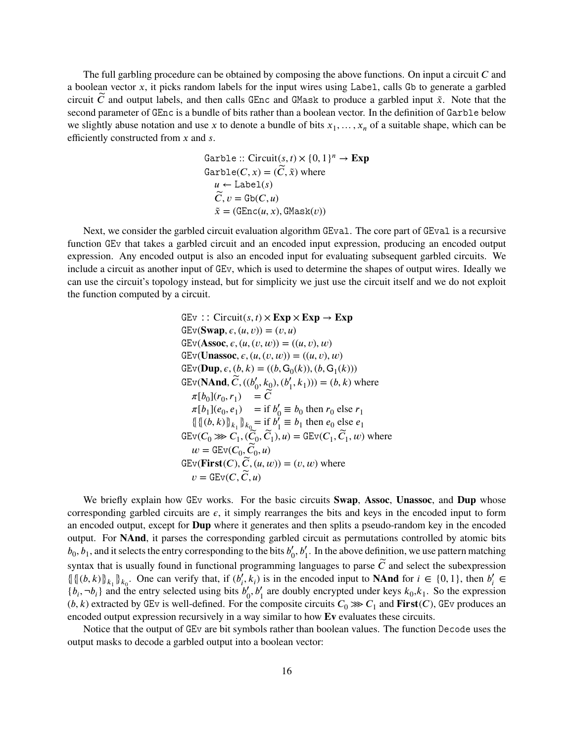The full garbling procedure can be obtained by composing the above functions. On input a circuit *C* and a boolean vector *x*, it picks random labels for the input wires using Label, calls Gb to generate a garbled circuit *C* and output labels, and then calls GEnc and GMask to produce a garbled input  $\tilde{x}$ . Note that the second parameter of GEnc is a bundle of bits rather than a boolean vector. In the definition of Garble below we slightly abuse notation and use *x* to denote a bundle of bits  $x_1, \ldots, x_n$  of a suitable shape, which can be efficiently constructed from *x* and *s*.

Garble :: Circuit(s, t) × {0, 1}<sup>n</sup> → **Exp**  
Garble(C, x) = (
$$
\widetilde{C}
$$
,  $\widetilde{x}$ ) where  
 $u \leftarrow$  Label(s)  
 $\widetilde{C}$ ,  $v =$  Gb(C, u)  
 $\widetilde{x} =$  (GEnc(u, x), GMask(v))

Next, we consider the garbled circuit evaluation algorithm GEval. The core part of GEval is a recursive function GE<sub>V</sub> that takes a garbled circuit and an encoded input expression, producing an encoded output expression. Any encoded output is also an encoded input for evaluating subsequent garbled circuits. We include a circuit as another input of GE<sub>V</sub>, which is used to determine the shapes of output wires. Ideally we can use the circuit's topology instead, but for simplicity we just use the circuit itself and we do not exploit the function computed by a circuit.

GEv :: Circuit(s, t) × **Exp** × **Exp** → **Exp**  
\nGEv(**Swap**, 
$$
\epsilon
$$
,  $(u, v)$ ) =  $(v, u)$   
\nGEv(**Assoc**,  $\epsilon$ ,  $(u, (v, w)) = ((u, v), w)$   
\nGEv(**Unassoc**,  $\epsilon$ ,  $(u, (v, w)) = ((u, v), w)$   
\nGEv(**Dup**,  $\epsilon$ ,  $(b, k) = ((b, G_0(k)), (b, G_1(k)))$   
\nGEv(**NAnd**,  $\widetilde{C}$ ,  $((b'_0, k_0), (b'_1, k_1))) = (b, k)$  where  
\n $\pi[b_0](r_0, r_1) = \widetilde{C}$   
\n $\pi[b_1](e_0, e_1) = \text{if } b'_0 \equiv b_0 \text{ then } r_0 \text{ else } r_1$   
\n $\{\{\{(b, k)\}_{k_1}\}_{k_0} = \text{if } b'_1 \equiv b_1 \text{ then } e_0 \text{ else } e_1$   
\nGEv( $C_0 \gg C_1$ ,  $(\widetilde{C}_0, \widetilde{C}_1)$ ,  $u) = \text{GEv}(C_1, \widetilde{C}_1, w)$  where  
\n $w = \text{GEv}(C_0, \widetilde{C}_0, u)$   
\nGEv(**First**(*C*),  $\widetilde{C}$ ,  $(u, w)) = (v, w)$  where  
\n $v = \text{GEv}(C, \widetilde{C}, u)$ 

We briefly explain how GEv works. For the basic circuits **Swap**, **Assoc**, **Unassoc**, and **Dup** whose corresponding garbled circuits are  $\epsilon$ , it simply rearranges the bits and keys in the encoded input to form an encoded output, except for **Dup** where it generates and then splits a pseudo-random key in the encoded output. For NAnd, it parses the corresponding garbled circuit as permutations controlled by atomic bits  $b_0, b_1$ , and it selects the entry corresponding to the bits  $b'_0$  $\mathcal{L}_0$ ,  $\mathcal{b}'_1$ . In the above definition, we use pattern matching syntax that is usually found in functional programming languages to parse  $\tilde{C}$  and select the subexpression  $\{\{(b, k)\}_{k_1}\}_{k_0}$ . One can verify that, if  $(b'_i, k_i)$  is in the encoded input to **NAnd** for  $i \in \{0, 1\}$ , then  $b'_i \in$  ${b_i, \neg b_i}$  and the entry selected using bits  $b'_i$  $\int_0^b$ ,  $b'_1$  are doubly encrypted under keys  $k_0, k_1$ . So the expression  $(b, k)$  extracted by GEv is well-defined. For the composite circuits  $C_0 \ggg C_1$  and  $\textbf{First}(C)$ , GEv produces an encoded output expression recursively in a way similar to how Ev evaluates these circuits.

Notice that the output of GEv are bit symbols rather than boolean values. The function Decode uses the output masks to decode a garbled output into a boolean vector: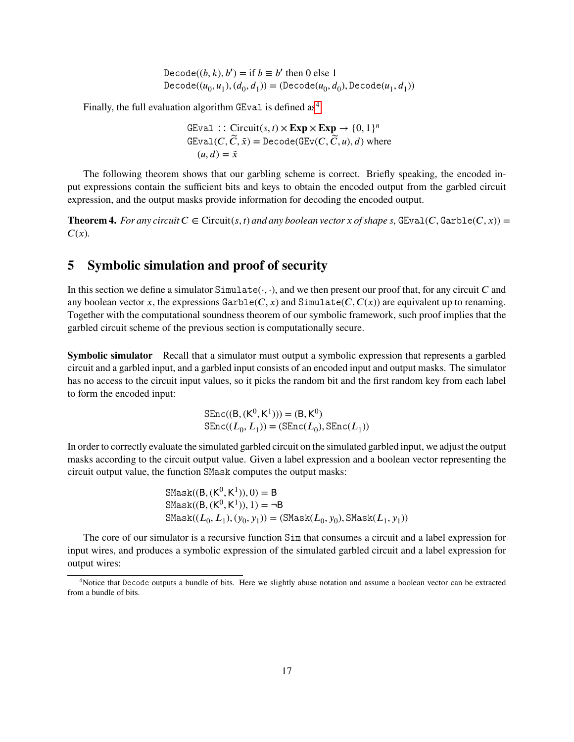$Decode((b, k), b') =$  if  $b \equiv b'$  then 0 else 1  $\textsf{Decode}((u_0, u_1), (d_0, d_1)) = (\textsf{Decode}(u_0, d_0), \textsf{Decode}(u_1, d_1))$ 

Finally, the full evaluation algorithm GEval is defined as<sup>[4](#page-16-1)</sup>:

 $GEval$  :: Circuit(*s*, *t*)  $\times$  **Exp**  $\times$  **Exp**  $\rightarrow$  {0, 1}<sup>*n*</sup>  $GEval(C, \widetilde{C}, \widetilde{x}) = Decode(GEv(C, \widetilde{C}, u), d)$  where  $(u, d) = \tilde{x}$ 

The following theorem shows that our garbling scheme is correct. Briefly speaking, the encoded input expressions contain the sufficient bits and keys to obtain the encoded output from the garbled circuit expression, and the output masks provide information for decoding the encoded output.

**Theorem 4.** For any circuit  $C \in$  Circuit $(s, t)$  and any boolean vector  $x$  of shape  $s$ ,  $GEval(C, Garble(C, x)) =$  $C(x)$ .

# <span id="page-16-0"></span>**5 Symbolic simulation and proof of security**

In this section we define a simulator  $Simulate(·, ·)$ , and we then present our proof that, for any circuit *C* and any boolean vector *x*, the expressions  $\text{Garble}(C, x)$  and  $\text{Simulate}(C, C(x))$  are equivalent up to renaming. Together with the computational soundness theorem of our symbolic framework, such proof implies that the garbled circuit scheme of the previous section is computationally secure.

**Symbolic simulator** Recall that a simulator must output a symbolic expression that represents a garbled circuit and a garbled input, and a garbled input consists of an encoded input and output masks. The simulator has no access to the circuit input values, so it picks the random bit and the first random key from each label to form the encoded input:

> $\text{SEnc}((B, (K^0, K^1))) = (B, K^0)$  $\text{SEnc}(L_0, L_1)$ ) = ( $\text{SEnc}(L_0)$ ,  $\text{SEnc}(L_1)$ )

In order to correctly evaluate the simulated garbled circuit on the simulated garbled input, we adjust the output masks according to the circuit output value. Given a label expression and a boolean vector representing the circuit output value, the function SMask computes the output masks:

$$
SMask((B, (K^0, K^1)), 0) = B
$$
  
\n
$$
SMask((B, (K^0, K^1)), 1) = \neg B
$$
  
\n
$$
SMask((L_0, L_1), (y_0, y_1)) = (SMask(L_0, y_0), SMask(L_1, y_1))
$$

The core of our simulator is a recursive function  $Sim$  that consumes a circuit and a label expression for input wires, and produces a symbolic expression of the simulated garbled circuit and a label expression for output wires:

<span id="page-16-1"></span><sup>&</sup>lt;sup>4</sup>Notice that Decode outputs a bundle of bits. Here we slightly abuse notation and assume a boolean vector can be extracted from a bundle of bits.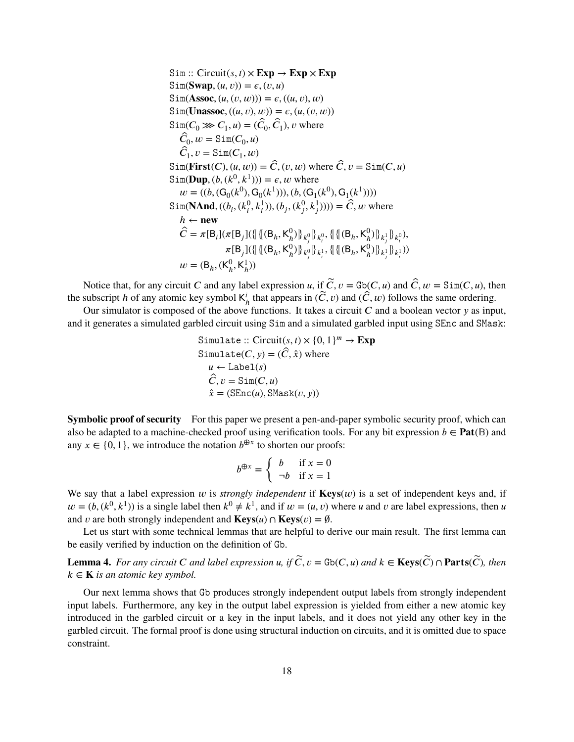Sim :: Circuit(*s*, *t*) × **Exp** → **Exp** × **Exp**  
\nSim(Swap, (*u*, *v*)) = 
$$
\epsilon
$$
, (*v*, *u*)  
\nSim(Assoc, (*u*, *v*, *w*))) =  $\epsilon$ , ((*u*, *v*), *w*)  
\nSim(Unassoc, ((*u*, *v*), *w*)) =  $\epsilon$ , (*u*, (*v*, *w*))  
\nSim( $C_0 \gg C_1, u$ ) = ( $\hat{C}_0, \hat{C}_1$ ), *v* where  
\n $\hat{C}_0, w = \text{Sim}(C_0, u)$   
\n $\hat{C}_1, v = \text{Sim}(C_1, w)$   
\nSim(First(C), (*u*, *w*)) =  $\hat{C}$ , (*v*, *w*) where  $\hat{C}$ , *v* = Sim(C, *u*)  
\nSim(Dup, (*b*, (*k*<sup>0</sup>, *k*<sup>1</sup>))) =  $\epsilon$ , *w* where  
\n $w = ((b, (G_0(k^0), G_0(k^1))), (b, (G_1(k^0), G_1(k^1))))$   
\nSim(NAnd, ((*b*<sub>i</sub>, (*k*<sup>0</sup>, *k*<sup>1</sup>)), (*b*<sub>j</sub>, (*k*<sup>0</sup>, *k*<sup>1</sup>)))) =  $\hat{C}$ , *w* where  
\n $h \leftarrow$  new  
\n $\hat{C} = \pi[B_i] (\pi[B_j] (\{[(B_h, K_h^0)]_{k^0}\}_{k^0} B_k^0, {\{[(B_h, K_h^0)]_{k^1}\}_{k^1}^B}_{k^1})},$   
\n $\pi[B_j] (\{[(B_h, K_h^0)]_{k^0} B_k^1, {\{[(B_h, K_h^0)]_{k^1}\}_{k^1}^B}_{k^1})})$   
\n $w = (B_h, (K_h^0, K_h^1))$ 

Notice that, for any circuit *C* and any label expression *u*, if  $\tilde{C}$ ,  $v = \text{Gb}(C, u)$  and  $\hat{C}$ ,  $w = \text{Sim}(C, u)$ , then the subscript *h* of any atomic key symbol  $K_i^i$ *h* that appears in  $(\widetilde{C}, v)$  and  $(\widehat{C}, w)$  follows the same ordering.

Our simulator is composed of the above functions. It takes a circuit  $C$  and a boolean vector  $y$  as input, and it generates a simulated garbled circuit using Sim and a simulated garbled input using SEnc and SMask:

Simulate :: Circuit(s, t) × {0, 1}<sup>m</sup> → **Exp**  
Simulate(C, y) = 
$$
(\hat{C}, \hat{x})
$$
 where  
 $u \leftarrow$  Label(s)  
 $\hat{C}, v =$ Sim(C, u)  
 $\hat{x} = ($ SEnc(u), Mask(v, y))

**Symbolic proof of security** For this paper we present a pen-and-paper symbolic security proof, which can also be adapted to a machine-checked proof using verification tools. For any bit expression  $b \in Pat(\mathbb{B})$  and any  $x \in \{0, 1\}$ , we introduce the notation  $b^{\oplus x}$  to shorten our proofs:

$$
b^{\oplus x} = \begin{cases} b & \text{if } x = 0\\ \neg b & \text{if } x = 1 \end{cases}
$$

We say that a label expression *w* is *strongly independent* if  $\mathbf{Keys}(w)$  is a set of independent keys and, if  $w = (b, (k^0, k^1))$  is a single label then  $k^0 \neq k^1$ , and if  $w = (u, v)$  where *u* and *v* are label expressions, then *u* and *v* are both strongly independent and  $\mathbf{Keys}(u) \cap \mathbf{Keys}(v) = \emptyset$ .

Let us start with some technical lemmas that are helpful to derive our main result. The first lemma can be easily verified by induction on the definition of Gb.

<span id="page-17-0"></span>**Lemma 4.** *For any circuit C* and label expression *u*, if  $\widetilde{C}$ ,  $v = \text{Gb}(C, u)$  and  $k \in \text{Keys}(\widetilde{C}) \cap \text{Parts}(\widetilde{C})$ , then  $k \in \mathbf{K}$  *is an atomic key symbol.* 

Our next lemma shows that Gb produces strongly independent output labels from strongly independent input labels. Furthermore, any key in the output label expression is yielded from either a new atomic key introduced in the garbled circuit or a key in the input labels, and it does not yield any other key in the garbled circuit. The formal proof is done using structural induction on circuits, and it is omitted due to space constraint.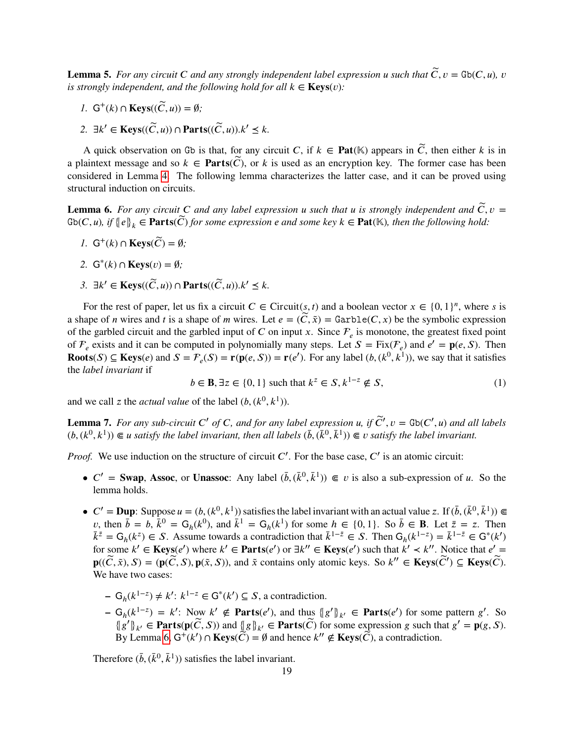<span id="page-18-8"></span>**Lemma 5.** For any circuit C and any strongly independent label expression *u* such that  $\widetilde{C}$ ,  $v = \text{Gb}(C, u)$ ,  $v$ *is strongly independent, and the following hold for all*  $k \in \text{Keys}(v)$ *:* 

- <span id="page-18-3"></span>*1.*  $G^+(k) \cap \text{Keys}((\widetilde{C}, u)) = \emptyset$ ;
- <span id="page-18-4"></span>*2.* ∃ $k' \in \mathbf{Keys}((\widetilde{C}, u)) \cap \mathbf{Parts}((\widetilde{C}, u))$ . $k' \leq k$ .

A quick observation on Gb is that, for any circuit *C*, if  $k \in$  **Pat**( $\mathbb{K}$ ) appears in  $\widetilde{C}$ , then either *k* is in a plaintext message and so  $k \in$  **Parts** $(\overline{C})$ , or  $k$  is used as an encryption key. The former case has been considered in Lemma [4.](#page-17-0) The following lemma characterizes the latter case, and it can be proved using structural induction on circuits.

<span id="page-18-0"></span>**Lemma 6.** For any circuit C and any label expression *u* such that *u* is strongly independent and  $\tilde{C}$ ,  $v =$  $Gb(C, u)$ , if  $\{e\}_k \in$  **Parts** $(\widetilde{C})$  *for some expression e and some key*  $k \in$  **Pat**( $\mathbb{K}$ )*, then the following hold:* 

- <span id="page-18-5"></span>*1.*  $G^+(k) \cap \text{Keys}(\widetilde{C}) = \emptyset$ ;
- <span id="page-18-7"></span>*2.* **G**<sup>\*</sup>(*k*) ∩ **Keys**(*v*) = Ø*;*
- <span id="page-18-6"></span>*3.* ∃ $k' \in \mathbf{Keys}((\widetilde{C}, u)) \cap \mathbf{Parts}((\widetilde{C}, u))$ . $k' \leq k$ .

For the rest of paper, let us fix a circuit  $C \in$  Circuit(*s, t*) and a boolean vector  $x \in \{0, 1\}^n$ , where *s* is a shape of *n* wires and *t* is a shape of *m* wires. Let  $e = (\tilde{C}, \tilde{x}) =$  Garble(*C*, *x*) be the symbolic expression of the garbled circuit and the garbled input of *C* on input *x*. Since  $\mathcal{F}_e$  is monotone, the greatest fixed point of  $\mathcal{F}_e$  exists and it can be computed in polynomially many steps. Let  $S = Fix(\mathcal{F}_e)$  and  $e' = \mathbf{p}(e, S)$ . Then **Roots**(S)  $\subseteq$  **Keys**(e) and  $S = \mathcal{F}_e(S) = \mathbf{r}(\mathbf{p}(e, S)) = \mathbf{r}(e')$ . For any label  $(b, (k^0, k^1))$ , we say that it satisfies the *label invariant* if

<span id="page-18-1"></span>
$$
b \in \mathbf{B}, \exists z \in \{0, 1\} \text{ such that } k^z \in S, k^{1-z} \notin S,
$$
\n
$$
(1)
$$

and we call *z* the *actual value* of the label  $(b, (k^0, k^1))$ .

<span id="page-18-2"></span>**Lemma 7.** For any sub-circuit C' of C, and for any label expression  $u$ , if  $\widetilde{C}'$ ,  $v = \text{Gb}(C', u)$  and all labels  $(b, (k^0, k^1)) \in u$  satisfy the label invariant, then all labels  $(\bar{b}, (\bar{k}^0, \bar{k}^1)) \in v$  satisfy the label invariant.

*Proof.* We use induction on the structure of circuit  $C'$ . For the base case,  $C'$  is an atomic circuit:

- $C' = \textbf{Swap}, \textbf{Assoc}, \text{ or } \textbf{Unassoc}: \textbf{Any label } (\bar{b}, (\bar{k}^0, \bar{k}^1)) \in v \text{ is also a sub-expression of } u. \textbf{ So the } \textbf{C} \text{ to } \bar{b} \text{ and } \bar{b} \text{ to } \bar{b} \text{ to } \bar{b} \text{ to } \bar{b} \text{ to } \bar{b} \text{ to } \bar{b} \text{ to } \bar{b} \text{ to } \bar{b} \text{ to } \bar{b} \text{ to } \bar{b} \text{ to } \bar{b} \text{ to } \bar{b} \text{ to } \bar$ lemma holds.
- $C' = \text{Dup}$ : Suppose  $u = (b, (k^0, k^1))$  satisfies the label invariant with an actual value *z*. If  $(\bar{b}, (\bar{k}^0, \bar{k}^1)) \in$ *v*, then  $\bar{b} = b$ ,  $\bar{k}^0 = G_h(k^0)$ , and  $\bar{k}^1 = G_h(k^1)$  for some  $h \in \{0, 1\}$ . So  $\bar{b} \in \mathbf{B}$ . Let  $\bar{z} = z$ . Then  $\bar{k}^{\bar{z}} = G_h(k^z) \in S$ . Assume towards a contradiction that  $\bar{k}^{1-\bar{z}} \in S$ . Then  $G_h(k^{1-z}) = \bar{k}^{1-\bar{z}} \in G^*(k')$ for some  $k' \in \text{Keys}(e')$  where  $k' \in \text{Parts}(e')$  or  $\exists k'' \in \text{Keys}(e')$  such that  $k' \prec k''$ . Notice that  $e' =$  $\mathbf{p}((\widetilde{C}, \widetilde{x}), S) = (\mathbf{p}(\widetilde{C}, S), \mathbf{p}(\widetilde{x}, S))$ , and  $\widetilde{x}$  contains only atomic keys. So  $k'' \in \mathbf{Keys}(\widetilde{C}') \subseteq \mathbf{Keys}(\widetilde{C})$ . We have two cases:
	- **−**  $G_h(k^{1-z}) \neq k'$ :  $k^{1-z} \in G^*(k') \subseteq S$ , a contradiction.
	- $\mathsf{G}_h(k^{1-z}) = k'$ : Now  $k' \notin \text{Parts}(e'),$  and thus  $\{g'\}_{k'} \in \text{Parts}(e')$  for some pattern *g'*. So  $\{ [g']\}_{k'} \in \textbf{Parts}(p(\widetilde{C}, S)) \text{ and } \{ [g]\}_{k'} \in \textbf{Parts}(\widetilde{C}) \text{ for some expression } g \text{ such that } g' = p(g, S).$ By Lemma [6,](#page-18-0)  $G^+(k') \cap \textbf{Keys}(\widetilde{C}) = \emptyset$  and hence  $k'' \notin \textbf{Keys}(\widetilde{C})$ , a contradiction.

Therefore  $(\bar{b}, (\bar{k}^0, \bar{k}^1))$  satisfies the label invariant.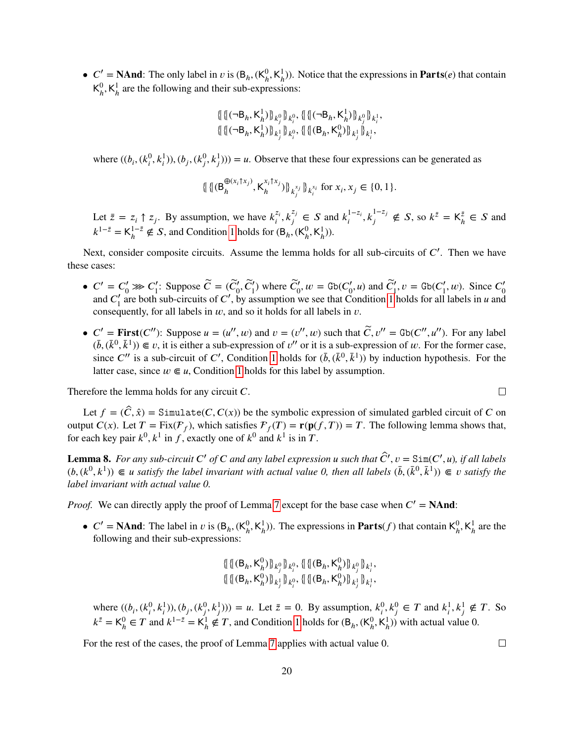•  $C' = \textbf{NAnd:}$  The only label in *v* is  $(\mathsf{B}_h, (\mathsf{K}_h^0))$  $h^0$ , K $h^1$  $\mathbf{h}^{(1)}$ ). Notice that the expressions in **Parts**(*e*) that contain  $\mathsf{K}^0_\mathsf{h}$  $_h^0$ , K $_h^1$  $\frac{1}{h}$  are the following and their sub-expressions:

$$
\begin{aligned} & \left\{ \left\{ \left( \neg \mathsf{B}_{h}, \mathsf{K}_{h}^{1} \right) \right\}_{k_{j}^{0}} \right\}_{k_{i}^{0}}, \left\{ \left\{ \left( \neg \mathsf{B}_{h}, \mathsf{K}_{h}^{1} \right) \right\}_{k_{j}^{0}} \right\}_{k_{i}^{1}}, \\ & \left\{ \left\{ \left( \neg \mathsf{B}_{h}, \mathsf{K}_{h}^{1} \right) \right\}_{k_{j}^{1}} \right\}_{k_{i}^{0}}, \left\{ \left\{ \left( \mathsf{B}_{h}, \mathsf{K}_{h}^{0} \right) \right\}_{k_{j}^{1}} \right\}_{k_{i}^{1}}, \end{aligned}
$$

where  $((b_i, (k_i^0, k_i^1)), (b_j, (k_j^0, k_j^1))) = u$ . Observe that these four expressions can be generated as

$$
\{\{\{\mathbf{B}_{h}^{\oplus(x_i \uparrow x_j)}, \mathbf{K}_h^{x_i \uparrow x_j})\}_{k_j}^{x_j}\}_{k_i}^{x_i} \text{ for } x_i, x_j \in \{0, 1\}.
$$

Let  $\bar{z} = z_i \uparrow z_j$ . By assumption, we have  $k_i^{z_i}$  $\mathbf{z}_i^{\mathbf{z}_i}, \mathbf{k}_j^{\mathbf{z}_j} \in S$  and  $\mathbf{k}_i^{1-\mathbf{z}_i}$  $j^{1-z_i}, k_j^{1-z_j} \notin S$ , so  $k^{\bar{z}} = K_h^{\bar{z}}$  $\frac{\bar{z}}{h} \in S$  and  $k^{1-\bar{z}} = {\sf K}_h^{1-\bar{z}}$  $h_h^{1-\bar{z}} \notin S$ , and Condition [1](#page-18-1) holds for  $(\mathsf{B}_h, (\mathsf{K}_h^0))$  $_h^0$ , K $_h^1$ *h*<sup>)).</sup>

Next, consider composite circuits. Assume the lemma holds for all sub-circuits of  $C'$ . Then we have these cases:

- $C' = C'_0 \ggg C'_1$  $C'_{1}$ : Suppose  $\widetilde{C} = (\widetilde{C}'_{0}, \widetilde{C}'_{1})$  where  $\widetilde{C}'_{0}, w = \text{Gb}(C'_{0})$  $\tilde{C}'_1$ ,  $v = \text{Gb}(C'_1)$  $'_{1}$ , *w*). Since  $C'_{0}$ and  $C'_1$  are both sub-circuits of C', by assumption we see that Condition 1 holds for all labels in u and  $C'_1$  are both sub-circuits of C', by assumption we see that Condition 1 holds for all labels in u and  $\frac{1}{1}$  are both sub-circuits of *C'*, by assumption we see that Condition [1](#page-18-1) holds for all labels in *u* and consequently, for all labels in  $w$ , and so it holds for all labels in  $v$ .
- $C' = \text{First}(C'')$ : Suppose  $u = (u'', w)$  and  $v = (v'', w)$  such that  $\tilde{C}, v'' = \text{Gb}(C'', u'')$ . For any label  $(\bar{b}, (\bar{k}^0, \bar{k}^1)) \in \nu$ , it is either a sub-expression of  $\nu''$  or it is a sub-expression of  $\omega$ . For the former case, since  $C''$  is a sub-circuit of  $C'$ , Condition [1](#page-18-1) holds for  $(\bar{b}, (\bar{k}^0, \bar{k}^1))$  by induction hypothesis. For the latter case, since  $w \in u$ , Condition [1](#page-18-1) holds for this label by assumption.

Therefore the lemma holds for any circuit *C*.

Let  $f = (\hat{C}, \hat{x})$  = Simulate(*C*, *C*(*x*)) be the symbolic expression of simulated garbled circuit of *C* on output  $C(x)$ . Let  $T = Fix(\mathcal{F}_f)$ , which satisfies  $\mathcal{F}_f(T) = \mathbf{r}(\mathbf{p}(f,T)) = T$ . The following lemma shows that, for each key pair  $k^0$ ,  $k^1$  in f, exactly one of  $k^0$  and  $k^1$  is in T.

<span id="page-19-0"></span>**Lemma 8.** For any sub-circuit  $C'$  of C and any label expression  $u$  such that  $\hat{C}'$ ,  $v = \text{Sim}(C', u)$ , if all labels  $(b, (k^0, k^1)) \in u$  satisfy the label invariant with actual value 0, then all labels  $(\bar{b}, (\bar{k}^0, \bar{k}^1)) \in v$  satisfy the *label invariant with actual value 0.*

*Proof.* We can directly apply the proof of Lemma [7](#page-18-2) except for the base case when  $C' = \textbf{NAnd}$ :

•  $C' = \textbf{NAnd:}$  The label in *v* is  $(\mathsf{B}_h, (\mathsf{K}_h^0))$  $_h^0$ , K $_h^1$  $\frac{1}{h}$ )). The expressions in **Parts** $(f)$  that contain  $K_h^0$  $_h^0$ , K $_h^1$  $\frac{1}{h}$  are the following and their sub-expressions:

$$
\begin{aligned}\n\{\{\{\mathbf{B}_h, \mathbf{K}_h^0\}\}_{k_j^0}\}_{k_i^1}, \{\{\{\mathbf{B}_h, \mathbf{K}_h^0\}\}_{k_j^0}\}_{k_i^1}, \\
\{\{\{\mathbf{B}_h, \mathbf{K}_h^0\}\}_{k_i^1}\}_{k_i^0}, \{\{\{\mathbf{B}_h, \mathbf{K}_h^0\}\}_{k_i^1}\}_{k_i^1},\n\end{aligned}
$$

where  $((b_i, (k_i^0, k_i^1)), (b_j, (k_j^0, k_j^1))) = u$ . Let  $\bar{z} = 0$ . By assumption,  $k_i^0, k_j^0 \in T$  and  $k_i^1, k_j^1 \notin T$ . So  $k^{\bar{z}} = \mathsf{K}^0_{\mu}$  $h_h^0 \in T$  and  $k^{1-\bar{z}} = K_h^1$  $\frac{1}{h} \notin T$ , and Condition [1](#page-18-1) holds for  $(\mathsf{B}_h, (\mathsf{K}_h^0))$  $_h^0$ , K $_h^1$  $\binom{1}{h}$ ) with actual value 0.

For the rest of the cases, the proof of Lemma [7](#page-18-2) applies with actual value 0.

 $\Box$ 

 $\Box$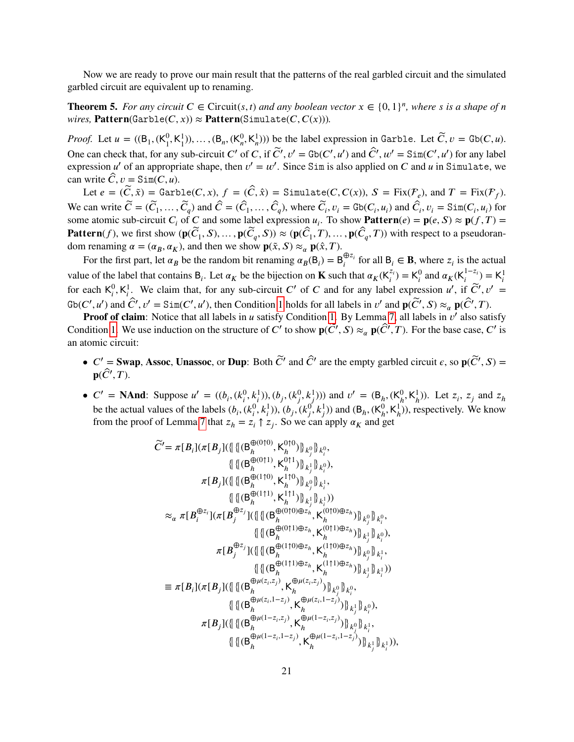Now we are ready to prove our main result that the patterns of the real garbled circuit and the simulated garbled circuit are equivalent up to renaming.

<span id="page-20-0"></span>**Theorem 5.** For any circuit  $C \in$  Circuit( $s, t$ ) and any boolean vector  $x \in \{0, 1\}^n$ , where  $s$  is a shape of  $n$ *wires,* **Pattern**(Garble( $C, x$ ))  $\approx$  **Pattern**(Simulate( $C, C(x)$ )).

*Proof.* Let  $u = ((B_1, (K_1^0))$  $^{0}_{1}$ , K<sub>1</sub>  $\binom{1}{1}$ ,...,  $(B_n, (K_n^0, K_n^1))$  be the label expression in Garble. Let  $\widetilde{C}$ ,  $v = \text{Gb}(C, u)$ . One can check that, for any sub-circuit *C'* of *C*, if  $\tilde{C}'$ ,  $v' = \text{Gb}(C', u')$  and  $\hat{C}'$ ,  $w' = \text{Sim}(C', u')$  for any label expression  $u'$  of an appropriate shape, then  $v' = w'$ . Since  $\texttt{Sim}$  is also applied on *C* and *u* in Simulate, we can write  $\hat{C}$ ,  $v = \text{Sim}(C, u)$ .

Let  $e = (\widetilde{C}, \tilde{x}) = \text{Garble}(C, x), f = (\widehat{C}, \hat{x}) = \text{Simulate}(C, C(x)), S = \text{Fix}(\mathcal{F}_e), \text{ and } T = \text{Fix}(\mathcal{F}_f).$ We can write  $\widetilde{C} = (\widetilde{C}_1, \ldots, \widetilde{C}_q)$  and  $\widehat{C} = (\widehat{C}_1, \ldots, \widehat{C}_q)$ , where  $\widetilde{C}_i, v_i = \text{Gb}(C_i, u_i)$  and  $\widehat{C}_i, v_i = \text{Sim}(C_i, u_i)$  for some atomic sub-circuit  $C_i$  of  $C$  and some label expression  $u_i$ . To show  $Pattern(e) = p(e, S) \approx p(f, T) =$ **Pattern**(f), we first show  $(\mathbf{p}(\widetilde{C}_1, S), \dots, \mathbf{p}(\widetilde{C}_q, S)) \approx (\mathbf{p}(\widehat{C}_1, T), \dots, \mathbf{p}(\widehat{C}_q, T))$  with respect to a pseudorandom renaming  $\alpha = (\alpha_B, \alpha_K)$ , and then we show  $\mathbf{p}(\tilde{x}, S) \approx_{\alpha} \mathbf{p}(\hat{x}, T)$ .

For the first part, let  $\alpha_B$  be the random bit renaming  $\alpha_B(\mathsf{B}_i) = \mathsf{B}_i^{\oplus z_i}$  $\mathbf{E}_i^{\oplus z_i}$  for all  $\mathbf{B}_i \in \mathbf{B}$ , where  $z_i$  is the actual value of the label that contains  $B_i$ . Let  $\alpha_K$  be the bijection on **K** such that  $\alpha_K(K_i^{\mathbb{Z}_i})$  $\alpha_{i}^{z_{i}}$  = K<sub>i</sub><sup>0</sup> and  $\alpha_{K}$ (K<sub>i</sub><sup>1-*z<sub>i</sub>*</sup>)</sup>  $j^{1-z_i}$ ) = K<sup>1</sup> for each  $K_i^0$ ,  $K_i^1$ . We claim that, for any sub-circuit *C'* of *C* and for any label expression *u'*, if  $\tilde{C}'$ ,  $v' =$  $Gb(C', u')$  and  $\hat{C}', v' = \text{Sim}(C', u')$ , then Condition [1](#page-18-1) holds for all labels in  $v'$  and  $\mathbf{p}(\tilde{C}', S) \approx_{\alpha} \mathbf{p}(\hat{C}', T)$ .

**Proof of claim**: Notice that all labels in *u* satisfy Condition [1.](#page-18-1) By Lemma [7,](#page-18-2) all labels in *v'* also satisfy Condition [1.](#page-18-1) We use induction on the structure of *C'* to show  $\mathbf{p}(\widetilde{C}', S) \approx_{\alpha} \mathbf{p}(\widehat{C}', T)$ . For the base case, *C'* is an atomic circuit:

- $C' = \textbf{Swap}, \textbf{Assoc}, \textbf{Unassoc}, \textbf{or Dup}: \textbf{Both } \widetilde{C}' \text{ and } \widehat{C}' \text{ are the empty garbled circuit } \epsilon, \textbf{so } \mathbf{p}(\widetilde{C}', \mathbf{S}) = \epsilon$  $\mathbf{p}(\widehat{C}',T)$ .
- $C'$  = **NAnd**: Suppose  $u'$  =  $((b_i, (k_i^0, k_i^1)), (b_j, (k_j^0, k_j^1)))$  and  $v'$  =  $(B_h, (K_h^0, k_i^1))$  $h^0_h$ , K $h^1_h$  $\binom{1}{h}$ ). Let  $z_i$ ,  $z_j$  and  $z_h$ be the actual values of the labels  $(b_i, (k_i^0, k_i^1)), (b_j, (k_j^0, k_j^1))$  and  $(\mathsf{B}_h, (\mathsf{K}_h^0, k_j^1))$  $h^0$ , K $h^1$  $\binom{1}{h}$ ), respectively. We know from the proof of Lemma [7](#page-18-2) that  $z_h = z_i \uparrow z_j$ . So we can apply  $\alpha_K$  and get

$$
\widetilde{C}' = \pi [B_i] (\pi [B_j] (\{ \{ (\mathbf{B}_h^{\Theta(0\uparrow 0)}, \mathbf{K}_h^{0\uparrow 0} ) \}_{k_j^0} \}_{k_i^0}, \{ \{ (\mathbf{B}_h^{\Theta(0\uparrow 1)}, \mathbf{K}_h^{0\uparrow 1} ) \}_{k_i^1} \}_{k_i^0}), \n\pi [B_j] (\{ \{ (\mathbf{B}_h^{\Theta(1\uparrow 1)}, \mathbf{K}_h^{1\uparrow 0} ) \}_{k_j^0} \}_{k_i^1}, \{ \{ (\mathbf{B}_h^{\Theta(1\uparrow 1)}, \mathbf{K}_h^{1\uparrow 1} ) \}_{k_i^1} \}_{k_i^1}) \}) \n\approx_{\alpha} \pi [B_i^{\Theta z_i} ] (\pi [B_j^{\Theta z_j} ] (\{ \{ (\mathbf{B}_h^{\Theta(0\uparrow 0) \oplus z_h}, \mathbf{K}_h^{(0\uparrow 0) \oplus z_h} ) \}_{k_j^0} \}_{k_i^0}, \n\{ \{ (\mathbf{B}_h^{\Theta(z_i)} ] (\{ \{ (\mathbf{B}_h^{\Theta(0\uparrow 1) \oplus z_h}, \mathbf{K}_h^{(0\uparrow 1) \oplus z_h} ) \}_{k_i^1} \}_{k_i^0}), \n\pi [B_j^{\Theta z_j} ] (\{ \{ (\mathbf{B}_h^{\Theta(1\uparrow 0) \oplus z_h}, \mathbf{K}_h^{(1\uparrow 0) \oplus z_h} ) \}_{k_j^0} \}_{k_i^1}, \{ \{ (\mathbf{B}_h^{\Theta(1\uparrow 1) \oplus z_h}, \mathbf{K}_h^{(1\uparrow 1) \oplus z_h} ) \}_{k_i^1} \}_{k_i^1}) \}) \n\equiv_{\pi [B_i] (\pi [B_j] (\{ \{ (\mathbf{B}_h^{\Theta(uz_i,z_j)}, \mathbf{K}_h^{\Theta(uz_i,z_j}) ) \}_{k_i^0} \}_{k_i^0} \}_{k_i^1}, \n\{ \{ (\mathbf{B}_h^{\Theta(uz_i,1-z_j)}, \mathbf{K}_h^{\Theta(u(z_i,1-z_j)} ) \}_{k_i^0} \}_{k_i^0}), \n\pi [B_j] (\{ \{ (\mathbf{B}_h^{\Theta(u(z_i,1-z_j)}, \mathbf{K}_h^{\Theta(u(z
$$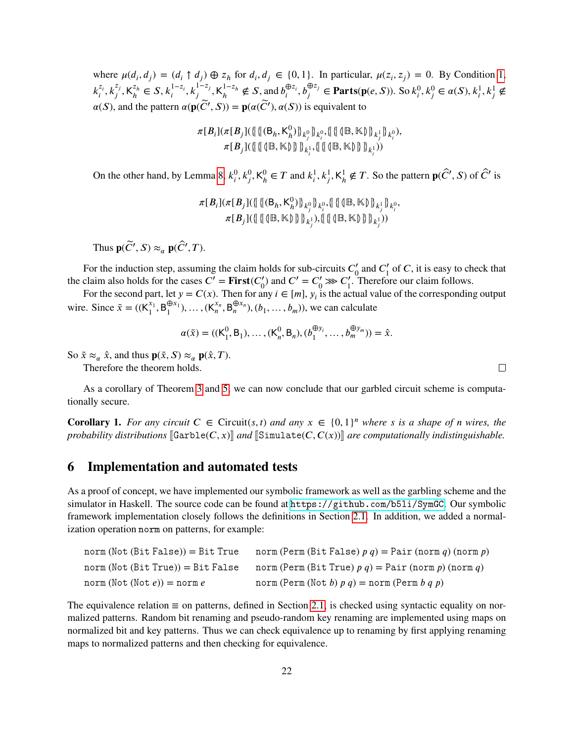where  $\mu(d_i, d_j) = (d_i \uparrow d_j) \oplus z_h$  for  $d_i, d_j \in \{0, 1\}$ . In particular,  $\mu(z_i, z_j) = 0$ . By Condition [1,](#page-18-1)  $k_i^{z_i}$  $\frac{z_i}{i}, k_j^{z_j}, K_h^{z_h}$  $\frac{z_h}{h} \in S$ ,  $k_i^{1-z_i}$  $i^{1-z_i}, k_j^{1-z_j}, K_h^{1-z_h}$  $h^{1-z_h} \notin S$ , and  $b_i^{\oplus z_i}$  $\bigoplus_{i}^{\oplus z_i}, b_j^{\oplus z_j} \in \textbf{Parts}(p(e, S)).$  So  $k_i^0, k_j^0 \in \alpha(S), k_i^1, k_j^1 \notin \alpha(S)$  $\alpha(S)$ , and the pattern  $\alpha(\mathbf{p}(\widetilde{C}', S)) = \mathbf{p}(\alpha(\widetilde{C}'), \alpha(S))$  is equivalent to

$$
\pi[B_i](\pi[B_j](\{\{\{\mathbb{B}_h, \mathsf{K}_h^0\}\}_{k_i^0}\}_{k_i^0}, \{\{\{\{\mathbb{B}, \mathbb{K}\}\}_{k_i^1}\}_{k_i^0}),
$$

$$
\pi[B_j](\{\{\{\{\mathbb{B}, \mathbb{K}\}\}\}_{k_i^1}, \{\{\{\{\mathbb{B}, \mathbb{K}\}\}\}_{k_i^1})
$$

On the other hand, by Lemma [8,](#page-19-0)  $k_i^0, k_j^0, K_h^0$  $h_h^0 \in T$  and  $k_i^1, k_j^1, K_h^1$  $h_h^1 \notin T$ . So the pattern  $p(\hat{C}', S)$  of  $\hat{C}'$  is

$$
\pi[B_i] (\pi[B_j] (\{ \{ (B_h, K_h^0) \}_{k_j^0} \}_{k_i^0}, \{ \{ ( \{ \mathbb{B}, \mathbb{K} \}_{k_j^1} \}_{k_i^0}, \pi[B_j] (\{ \{ \{ \mathbb{B}, \mathbb{K} \}_{k_j^1} \}_{k_i^1}), \{ \{ ( \mathbb{B}, \mathbb{K} \}_{k_i^1} \}_{k_i^1}) )
$$

Thus  $\mathbf{p}(\widetilde{C}', S) \approx_{\alpha} \mathbf{p}(\widehat{C}', T)$ .

For the induction step, assuming the claim holds for sub-circuits  $C'_{0}$  $C_0'$  and  $C_1'$  $\frac{1}{1}$  of *C*, it is easy to check that the claim also holds for the cases  $C' =$  **First** $(C'_0)$  $C'_0$  and  $C' = C'_0 \gg c'_1$  $\frac{7}{1}$ . Therefore our claim follows.

For the second part, let  $y = C(x)$ . Then for any  $i \in [m]$ ,  $y_i$  is the actual value of the corresponding output wire. Since  $\tilde{x} = ((K_1^{x_1})^T)^T$  $\frac{x_1}{1}, \mathsf{B}_1^{\oplus x_1}$  $\frac{\oplus x_1}{1}$ , ...,  $(K_n^{x_n}, B_n^{\oplus x_n})$ ,  $(b_1, \ldots, b_m)$ ), we can calculate

$$
\alpha(\tilde{x}) = ((\mathsf{K}_1^0, \mathsf{B}_1), \dots, (\mathsf{K}_n^0, \mathsf{B}_n), (b_1^{\oplus y_i}, \dots, b_m^{\oplus y_m})) = \hat{x}.
$$

So  $\tilde{x} \approx_{\alpha} \hat{x}$ , and thus  $\mathbf{p}(\tilde{x}, S) \approx_{\alpha} \mathbf{p}(\hat{x}, T)$ .

Therefore the theorem holds.

As a corollary of Theorem [3](#page-10-1) and [5,](#page-20-0) we can now conclude that our garbled circuit scheme is computationally secure.

**Corollary 1.** For any circuit  $C \text{ } \in \text{Circuit}(s, t)$  and any  $x \in \{0, 1\}^n$  where *s* is a shape of *n* wires, the *probability distributions*  $\mathbb{G}$ arble $(C, x)$  *and*  $\mathbb{S}$ imulate $(C, C(x))$  *are computationally indistinguishable.* 

### <span id="page-21-0"></span>**6 Implementation and automated tests**

As a proof of concept, we have implemented our symbolic framework as well as the garbling scheme and the simulator in Haskell. The source code can be found at <https://github.com/b5li/SymGC>. Our symbolic framework implementation closely follows the definitions in Section [2.1.](#page-4-1) In addition, we added a normalization operation norm on patterns, for example:

| norm (Not (Bit False)) = Bit True                                         | norm (Perm (Bit False) $p q$ ) = Pair (norm q) (norm p)      |
|---------------------------------------------------------------------------|--------------------------------------------------------------|
| norm (Not (Bit True)) = Bit False                                         | norm (Perm (Bit True) $p q$ ) = Pair (norm $p$ ) (norm $q$ ) |
| $\texttt{norm} \ (\texttt{Not} \ (\texttt{Not} \ e)) = \texttt{norm} \ e$ | norm (Perm (Not b) $p q$ ) = norm (Perm b q p)               |

The equivalence relation  $\equiv$  on patterns, defined in Section [2.1,](#page-4-1) is checked using syntactic equality on normalized patterns. Random bit renaming and pseudo-random key renaming are implemented using maps on normalized bit and key patterns. Thus we can check equivalence up to renaming by first applying renaming maps to normalized patterns and then checking for equivalence.

 $\Box$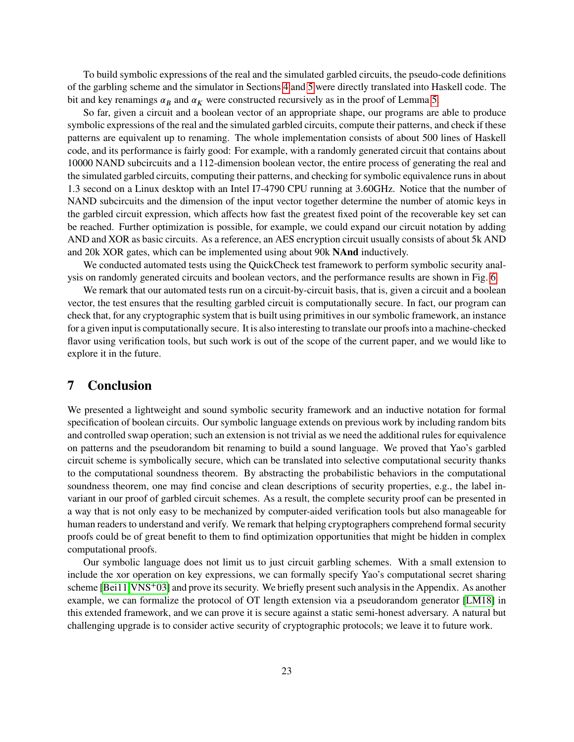To build symbolic expressions of the real and the simulated garbled circuits, the pseudo-code definitions of the garbling scheme and the simulator in Sections [4](#page-13-0) and [5](#page-16-0) were directly translated into Haskell code. The bit and key renamings  $\alpha_R$  and  $\alpha_K$  were constructed recursively as in the proof of Lemma [5.](#page-20-0)

So far, given a circuit and a boolean vector of an appropriate shape, our programs are able to produce symbolic expressions of the real and the simulated garbled circuits, compute their patterns, and check if these patterns are equivalent up to renaming. The whole implementation consists of about 500 lines of Haskell code, and its performance is fairly good: For example, with a randomly generated circuit that contains about 10000 NAND subcircuits and a 112-dimension boolean vector, the entire process of generating the real and the simulated garbled circuits, computing their patterns, and checking for symbolic equivalence runs in about 1.3 second on a Linux desktop with an Intel I7-4790 CPU running at 3.60GHz. Notice that the number of NAND subcircuits and the dimension of the input vector together determine the number of atomic keys in the garbled circuit expression, which affects how fast the greatest fixed point of the recoverable key set can be reached. Further optimization is possible, for example, we could expand our circuit notation by adding AND and XOR as basic circuits. As a reference, an AES encryption circuit usually consists of about 5k AND and 20k XOR gates, which can be implemented using about 90k NAnd inductively.

We conducted automated tests using the QuickCheck test framework to perform symbolic security analysis on randomly generated circuits and boolean vectors, and the performance results are shown in Fig. [6.](#page-23-4)

We remark that our automated tests run on a circuit-by-circuit basis, that is, given a circuit and a boolean vector, the test ensures that the resulting garbled circuit is computationally secure. In fact, our program can check that, for any cryptographic system that is built using primitives in our symbolic framework, an instance for a given input is computationally secure. It is also interesting to translate our proofs into a machine-checked flavor using verification tools, but such work is out of the scope of the current paper, and we would like to explore it in the future.

### <span id="page-22-0"></span>**7 Conclusion**

We presented a lightweight and sound symbolic security framework and an inductive notation for formal specification of boolean circuits. Our symbolic language extends on previous work by including random bits and controlled swap operation; such an extension is not trivial as we need the additional rules for equivalence on patterns and the pseudorandom bit renaming to build a sound language. We proved that Yao's garbled circuit scheme is symbolically secure, which can be translated into selective computational security thanks to the computational soundness theorem. By abstracting the probabilistic behaviors in the computational soundness theorem, one may find concise and clean descriptions of security properties, e.g., the label invariant in our proof of garbled circuit schemes. As a result, the complete security proof can be presented in a way that is not only easy to be mechanized by computer-aided verification tools but also manageable for human readers to understand and verify. We remark that helping cryptographers comprehend formal security proofs could be of great benefit to them to find optimization opportunities that might be hidden in complex computational proofs.

Our symbolic language does not limit us to just circuit garbling schemes. With a small extension to include the xor operation on key expressions, we can formally specify Yao's computational secret sharing scheme [\[Bei11](#page-23-5), VNS<sup>+</sup>03] and prove its security. We briefly present such analysis in the Appendix. As another example, we can formalize the protocol of OT length extension via a pseudorandom generator [\[LM18\]](#page-25-12) in this extended framework, and we can prove it is secure against a static semi-honest adversary. A natural but challenging upgrade is to consider active security of cryptographic protocols; we leave it to future work.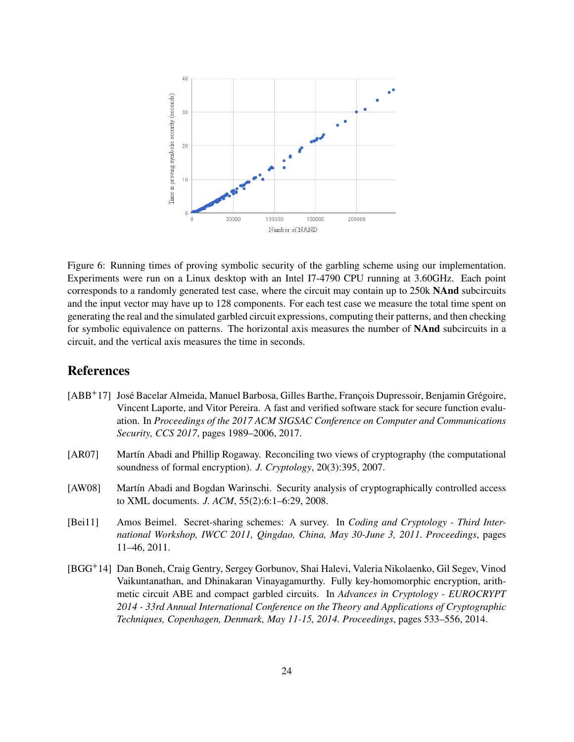

<span id="page-23-4"></span>Figure 6: Running times of proving symbolic security of the garbling scheme using our implementation. Experiments were run on a Linux desktop with an Intel I7-4790 CPU running at 3.60GHz. Each point corresponds to a randomly generated test case, where the circuit may contain up to 250k **NAnd** subcircuits and the input vector may have up to 128 components. For each test case we measure the total time spent on generating the real and the simulated garbled circuit expressions, computing their patterns, and then checking for symbolic equivalence on patterns. The horizontal axis measures the number of **NAnd** subcircuits in a circuit, and the vertical axis measures the time in seconds.

## **References**

- <span id="page-23-3"></span>[ABB+17] José Bacelar Almeida, Manuel Barbosa, Gilles Barthe, François Dupressoir, Benjamin Grégoire, Vincent Laporte, and Vitor Pereira. A fast and verified software stack for secure function evaluation. In *Proceedings of the 2017 ACM SIGSAC Conference on Computer and Communications Security, CCS 2017*, pages 1989–2006, 2017.
- <span id="page-23-0"></span>[AR07] Martín Abadi and Phillip Rogaway. Reconciling two views of cryptography (the computational soundness of formal encryption). *J. Cryptology*, 20(3):395, 2007.
- <span id="page-23-1"></span>[AW08] Martín Abadi and Bogdan Warinschi. Security analysis of cryptographically controlled access to XML documents. *J. ACM*, 55(2):6:1–6:29, 2008.
- <span id="page-23-5"></span>[Bei11] Amos Beimel. Secret-sharing schemes: A survey. In *Coding and Cryptology - Third International Workshop, IWCC 2011, Qingdao, China, May 30-June 3, 2011. Proceedings*, pages 11–46, 2011.
- <span id="page-23-2"></span>[BGG+14] Dan Boneh, Craig Gentry, Sergey Gorbunov, Shai Halevi, Valeria Nikolaenko, Gil Segev, Vinod Vaikuntanathan, and Dhinakaran Vinayagamurthy. Fully key-homomorphic encryption, arithmetic circuit ABE and compact garbled circuits. In *Advances in Cryptology - EUROCRYPT 2014 - 33rd Annual International Conference on the Theory and Applications of Cryptographic Techniques, Copenhagen, Denmark, May 11-15, 2014. Proceedings*, pages 533–556, 2014.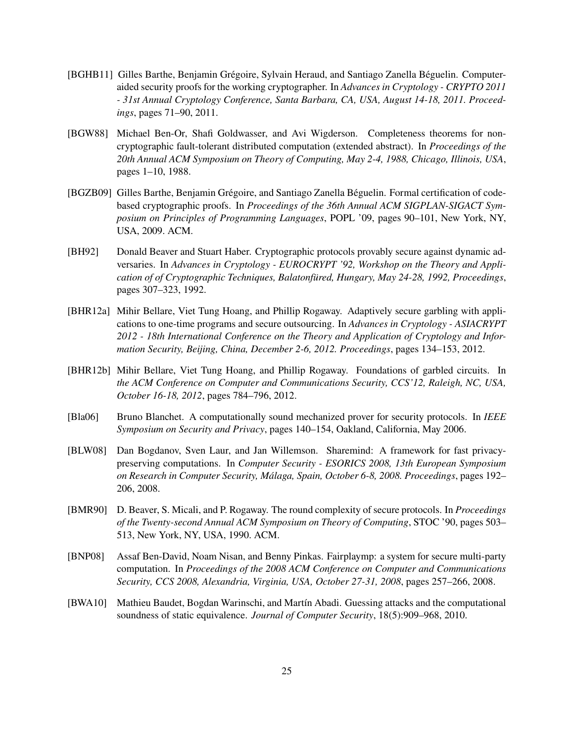- <span id="page-24-9"></span>[BGHB11] Gilles Barthe, Benjamin Grégoire, Sylvain Heraud, and Santiago Zanella Béguelin. Computeraided security proofs for the working cryptographer. In *Advances in Cryptology - CRYPTO 2011 - 31st Annual Cryptology Conference, Santa Barbara, CA, USA, August 14-18, 2011. Proceedings*, pages 71–90, 2011.
- <span id="page-24-0"></span>[BGW88] Michael Ben-Or, Shafi Goldwasser, and Avi Wigderson. Completeness theorems for noncryptographic fault-tolerant distributed computation (extended abstract). In *Proceedings of the 20th Annual ACM Symposium on Theory of Computing, May 2-4, 1988, Chicago, Illinois, USA*, pages 1–10, 1988.
- <span id="page-24-8"></span>[BGZB09] Gilles Barthe, Benjamin Grégoire, and Santiago Zanella Béguelin. Formal certification of codebased cryptographic proofs. In *Proceedings of the 36th Annual ACM SIGPLAN-SIGACT Symposium on Principles of Programming Languages*, POPL '09, pages 90–101, New York, NY, USA, 2009. ACM.
- <span id="page-24-6"></span>[BH92] Donald Beaver and Stuart Haber. Cryptographic protocols provably secure against dynamic adversaries. In *Advances in Cryptology - EUROCRYPT '92, Workshop on the Theory and Application of of Cryptographic Techniques, Balatonfüred, Hungary, May 24-28, 1992, Proceedings*, pages 307–323, 1992.
- <span id="page-24-5"></span>[BHR12a] Mihir Bellare, Viet Tung Hoang, and Phillip Rogaway. Adaptively secure garbling with applications to one-time programs and secure outsourcing. In *Advances in Cryptology - ASIACRYPT 2012 - 18th International Conference on the Theory and Application of Cryptology and Information Security, Beijing, China, December 2-6, 2012. Proceedings*, pages 134–153, 2012.
- <span id="page-24-4"></span>[BHR12b] Mihir Bellare, Viet Tung Hoang, and Phillip Rogaway. Foundations of garbled circuits. In *the ACM Conference on Computer and Communications Security, CCS'12, Raleigh, NC, USA, October 16-18, 2012*, pages 784–796, 2012.
- <span id="page-24-7"></span>[Bla06] Bruno Blanchet. A computationally sound mechanized prover for security protocols. In *IEEE Symposium on Security and Privacy*, pages 140–154, Oakland, California, May 2006.
- <span id="page-24-2"></span>[BLW08] Dan Bogdanov, Sven Laur, and Jan Willemson. Sharemind: A framework for fast privacypreserving computations. In *Computer Security - ESORICS 2008, 13th European Symposium on Research in Computer Security, Málaga, Spain, October 6-8, 2008. Proceedings*, pages 192– 206, 2008.
- <span id="page-24-10"></span>[BMR90] D. Beaver, S. Micali, and P. Rogaway. The round complexity of secure protocols. In *Proceedings of the Twenty-second Annual ACM Symposium on Theory of Computing*, STOC '90, pages 503– 513, New York, NY, USA, 1990. ACM.
- <span id="page-24-1"></span>[BNP08] Assaf Ben-David, Noam Nisan, and Benny Pinkas. Fairplaymp: a system for secure multi-party computation. In *Proceedings of the 2008 ACM Conference on Computer and Communications Security, CCS 2008, Alexandria, Virginia, USA, October 27-31, 2008*, pages 257–266, 2008.
- <span id="page-24-3"></span>[BWA10] Mathieu Baudet, Bogdan Warinschi, and Martín Abadi. Guessing attacks and the computational soundness of static equivalence. *Journal of Computer Security*, 18(5):909–968, 2010.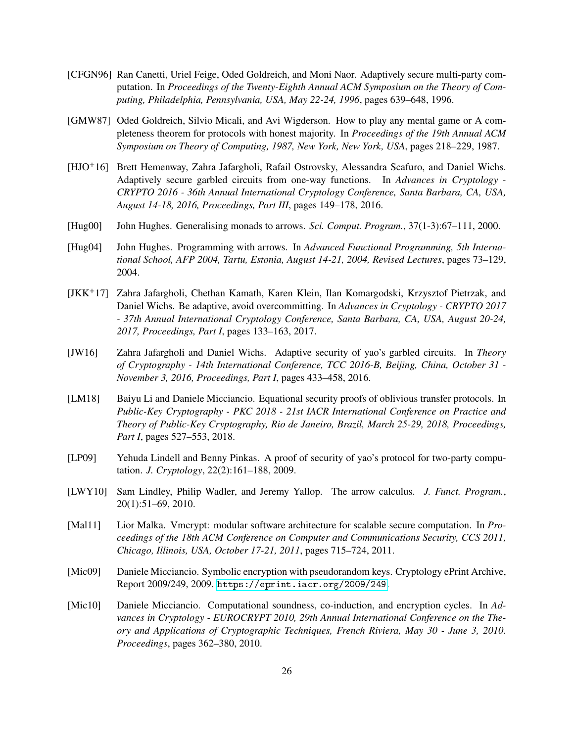- <span id="page-25-11"></span>[CFGN96] Ran Canetti, Uriel Feige, Oded Goldreich, and Moni Naor. Adaptively secure multi-party computation. In *Proceedings of the Twenty-Eighth Annual ACM Symposium on the Theory of Computing, Philadelphia, Pennsylvania, USA, May 22-24, 1996*, pages 639–648, 1996.
- <span id="page-25-0"></span>[GMW87] Oded Goldreich, Silvio Micali, and Avi Wigderson. How to play any mental game or A completeness theorem for protocols with honest majority. In *Proceedings of the 19th Annual ACM Symposium on Theory of Computing, 1987, New York, New York, USA*, pages 218–229, 1987.
- <span id="page-25-8"></span>[HJO+16] Brett Hemenway, Zahra Jafargholi, Rafail Ostrovsky, Alessandra Scafuro, and Daniel Wichs. Adaptively secure garbled circuits from one-way functions. In *Advances in Cryptology - CRYPTO 2016 - 36th Annual International Cryptology Conference, Santa Barbara, CA, USA, August 14-18, 2016, Proceedings, Part III*, pages 149–178, 2016.
- <span id="page-25-5"></span>[Hug00] John Hughes. Generalising monads to arrows. *Sci. Comput. Program.*, 37(1-3):67–111, 2000.
- <span id="page-25-6"></span>[Hug04] John Hughes. Programming with arrows. In *Advanced Functional Programming, 5th International School, AFP 2004, Tartu, Estonia, August 14-21, 2004, Revised Lectures*, pages 73–129, 2004.
- <span id="page-25-10"></span>[JKK+17] Zahra Jafargholi, Chethan Kamath, Karen Klein, Ilan Komargodski, Krzysztof Pietrzak, and Daniel Wichs. Be adaptive, avoid overcommitting. In *Advances in Cryptology - CRYPTO 2017 - 37th Annual International Cryptology Conference, Santa Barbara, CA, USA, August 20-24, 2017, Proceedings, Part I*, pages 133–163, 2017.
- <span id="page-25-9"></span>[JW16] Zahra Jafargholi and Daniel Wichs. Adaptive security of yao's garbled circuits. In *Theory of Cryptography - 14th International Conference, TCC 2016-B, Beijing, China, October 31 - November 3, 2016, Proceedings, Part I*, pages 433–458, 2016.
- <span id="page-25-12"></span>[LM18] Baiyu Li and Daniele Micciancio. Equational security proofs of oblivious transfer protocols. In *Public-Key Cryptography - PKC 2018 - 21st IACR International Conference on Practice and Theory of Public-Key Cryptography, Rio de Janeiro, Brazil, March 25-29, 2018, Proceedings, Part I*, pages 527–553, 2018.
- <span id="page-25-2"></span>[LP09] Yehuda Lindell and Benny Pinkas. A proof of security of yao's protocol for two-party computation. *J. Cryptology*, 22(2):161–188, 2009.
- <span id="page-25-7"></span>[LWY10] Sam Lindley, Philip Wadler, and Jeremy Yallop. The arrow calculus. *J. Funct. Program.*, 20(1):51–69, 2010.
- <span id="page-25-1"></span>[Mal11] Lior Malka. Vmcrypt: modular software architecture for scalable secure computation. In *Proceedings of the 18th ACM Conference on Computer and Communications Security, CCS 2011, Chicago, Illinois, USA, October 17-21, 2011*, pages 715–724, 2011.
- <span id="page-25-4"></span>[Mic09] Daniele Micciancio. Symbolic encryption with pseudorandom keys. Cryptology ePrint Archive, Report 2009/249, 2009. <https://eprint.iacr.org/2009/249>.
- <span id="page-25-3"></span>[Mic10] Daniele Micciancio. Computational soundness, co-induction, and encryption cycles. In *Advances in Cryptology - EUROCRYPT 2010, 29th Annual International Conference on the Theory and Applications of Cryptographic Techniques, French Riviera, May 30 - June 3, 2010. Proceedings*, pages 362–380, 2010.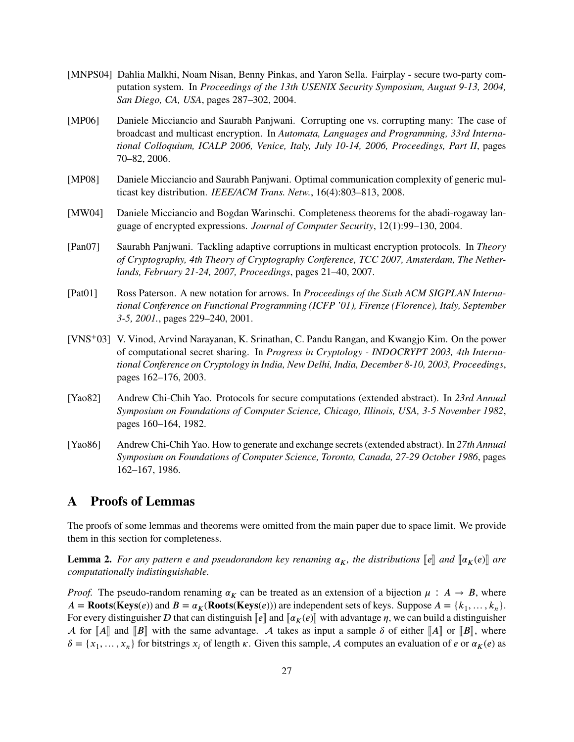- <span id="page-26-2"></span>[MNPS04] Dahlia Malkhi, Noam Nisan, Benny Pinkas, and Yaron Sella. Fairplay - secure two-party computation system. In *Proceedings of the 13th USENIX Security Symposium, August 9-13, 2004, San Diego, CA, USA*, pages 287–302, 2004.
- <span id="page-26-4"></span>[MP06] Daniele Micciancio and Saurabh Panjwani. Corrupting one vs. corrupting many: The case of broadcast and multicast encryption. In *Automata, Languages and Programming, 33rd International Colloquium, ICALP 2006, Venice, Italy, July 10-14, 2006, Proceedings, Part II*, pages 70–82, 2006.
- <span id="page-26-6"></span>[MP08] Daniele Micciancio and Saurabh Panjwani. Optimal communication complexity of generic multicast key distribution. *IEEE/ACM Trans. Netw.*, 16(4):803–813, 2008.
- <span id="page-26-3"></span>[MW04] Daniele Micciancio and Bogdan Warinschi. Completeness theorems for the abadi-rogaway language of encrypted expressions. *Journal of Computer Security*, 12(1):99–130, 2004.
- <span id="page-26-5"></span>[Pan07] Saurabh Panjwani. Tackling adaptive corruptions in multicast encryption protocols. In *Theory of Cryptography, 4th Theory of Cryptography Conference, TCC 2007, Amsterdam, The Netherlands, February 21-24, 2007, Proceedings*, pages 21–40, 2007.
- <span id="page-26-7"></span>[Pat01] Ross Paterson. A new notation for arrows. In *Proceedings of the Sixth ACM SIGPLAN International Conference on Functional Programming (ICFP '01), Firenze (Florence), Italy, September 3-5, 2001.*, pages 229–240, 2001.
- <span id="page-26-8"></span>[VNS+03] V. Vinod, Arvind Narayanan, K. Srinathan, C. Pandu Rangan, and Kwangjo Kim. On the power of computational secret sharing. In *Progress in Cryptology - INDOCRYPT 2003, 4th International Conference on Cryptology in India, New Delhi, India, December 8-10, 2003, Proceedings*, pages 162–176, 2003.
- <span id="page-26-0"></span>[Yao82] Andrew Chi-Chih Yao. Protocols for secure computations (extended abstract). In *23rd Annual Symposium on Foundations of Computer Science, Chicago, Illinois, USA, 3-5 November 1982*, pages 160–164, 1982.
- <span id="page-26-1"></span>[Yao86] Andrew Chi-Chih Yao. How to generate and exchange secrets (extended abstract). In *27th Annual Symposium on Foundations of Computer Science, Toronto, Canada, 27-29 October 1986*, pages 162–167, 1986.

# **A Proofs of Lemmas**

The proofs of some lemmas and theorems were omitted from the main paper due to space limit. We provide them in this section for completeness.

**Lemma 2.** For any pattern *e* and pseudorandom key renaming  $\alpha_K$ , the distributions  $\llbracket e \rrbracket$  and  $\llbracket \alpha_K(e) \rrbracket$  are *computationally indistinguishable.*

*Proof.* The pseudo-random renaming  $\alpha_K$  can be treated as an extension of a bijection  $\mu : A \rightarrow B$ , where  $A = \text{Roots}(\text{Keys}(e))$  and  $B = \alpha_K(\text{Roots}(\text{Keys}(e)))$  are independent sets of keys. Suppose  $A = \{k_1, \ldots, k_n\}$ . For every distinguisher *D* that can distinguish  $\llbracket e \rrbracket$  and  $\llbracket \alpha_K(e) \rrbracket$  with advantage  $\eta$ , we can build a distinguisher A for  $\llbracket A \rrbracket$  and  $\llbracket B \rrbracket$  with the same advantage. A takes as input a sample  $\delta$  of either  $\llbracket A \rrbracket$  or  $\llbracket B \rrbracket$ , where  $\delta = \{x_1, \ldots, x_n\}$  for bitstrings  $x_i$  of length  $\kappa$ . Given this sample, A computes an evaluation of *e* or  $\alpha_K(e)$  as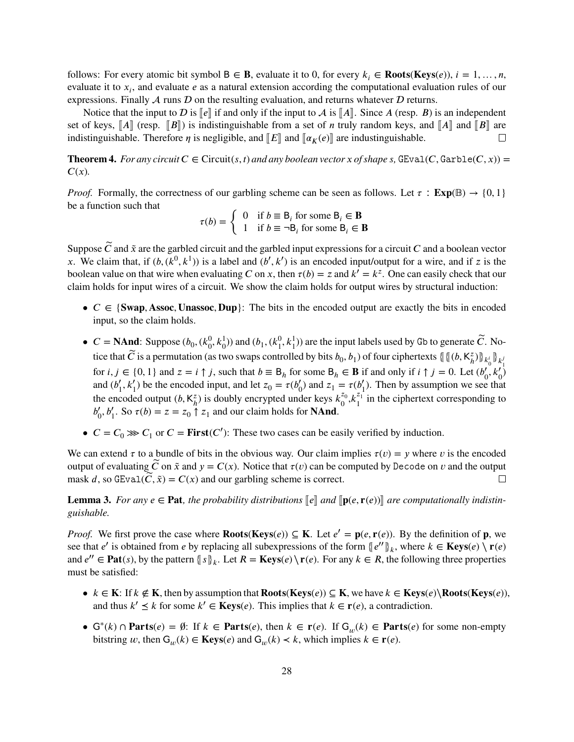follows: For every atomic bit symbol  $B \in B$ , evaluate it to 0, for every  $k_i \in \text{Roots}(\text{Keys}(e))$ ,  $i = 1, \ldots, n$ , evaluate it to  $x_i$ , and evaluate *e* as a natural extension according the computational evaluation rules of our expressions. Finally  $A$  runs  $D$  on the resulting evaluation, and returns whatever  $D$  returns.

Notice that the input to  $D$  is  $\llbracket e \rrbracket$  if and only if the input to  $A$  is  $\llbracket A \rrbracket$ . Since  $A$  (resp.  $B$ ) is an independent set of keys,  $\llbracket A \rrbracket$  (resp.  $\llbracket B \rrbracket$ ) is indistinguishable from a set of *n* truly random keys, and  $\llbracket A \rrbracket$  and  $\llbracket B \rrbracket$  are indistinguishable. Therefore *n* is negligible, and  $\llbracket E \rrbracket$  and  $\llbracket a_V(e) \rrbracket$ indistinguishable. Therefore  $\eta$  is negligible, and  $\llbracket E \rrbracket$  and  $\llbracket \alpha_K(e) \rrbracket$  are industinguishable.

**Theorem 4.** For any circuit  $C \in$  Circuit $(s, t)$  and any boolean vector  $x$  of shape  $s$ ,  $GEval(C, Garble(C, x)) =$  $C(x)$ .

*Proof.* Formally, the correctness of our garbling scheme can be seen as follows. Let  $\tau : \mathbf{Exp}(\mathbb{B}) \to \{0, 1\}$ be a function such that

$$
\tau(b) = \begin{cases} 0 & \text{if } b \equiv \mathsf{B}_i \text{ for some } \mathsf{B}_i \in \mathbf{B} \\ 1 & \text{if } b \equiv \neg \mathsf{B}_i \text{ for some } \mathsf{B}_i \in \mathbf{B} \end{cases}
$$

Suppose  $\tilde{C}$  and  $\tilde{x}$  are the garbled circuit and the garbled input expressions for a circuit  $C$  and a boolean vector x. We claim that, if  $(b, (k^0, k^1))$  is a label and  $(b', k')$  is an encoded input/output for a wire, and if *z* is the boolean value on that wire when evaluating *C* on *x*, then  $\tau(b) = z$  and  $k' = k^z$ . One can easily check that our claim holds for input wires of a circuit. We show the claim holds for output wires by structural induction:

- $C \in \{Swap, Assoc, Unassoc, Dup\}$ : The bits in the encoded output are exactly the bits in encoded input, so the claim holds.
- $C = \textbf{NAnd:}$  Suppose  $(b_0, (k_0^0))$  $\binom{0}{0}$ ,  $k_0^1$ ) and  $\binom{b_1}{1}$ ,  $\binom{k_0^0}{1}$  $_1^0, k_1^1$ )) are the input labels used by Gb to generate  $\widetilde{C}$ . Notice that  $\widetilde{C}$  is a permutation (as two swaps controlled by bits  $b_0, b_1$ ) of four ciphertexts  $\{\mathcal{A}(b, \mathsf{K}_h^z)\}$  $\{ \big\{ \}_{k_0}^{z} \big\} \}_{k_0^j}$ for  $i, j \in \{0, 1\}$  and  $z = i \uparrow j$ , such that  $b \equiv B_h$  for some  $B_h \in \mathbf{B}$  if and only if  $i \uparrow j = 0$ . Let  $(b_0^j, k_0^j)$  $'_{0}, k'_{0}$ and  $(b'_1)$  $\mathcal{L}'_1$ ,  $k'_1$ ) be the encoded input, and let  $z_0 = \tau(b'_0)$  $\tau'_{0}$ ) and  $z_{1} = \tau(b'_{1})$  $\binom{1}{1}$ . Then by assumption we see that the encoded output  $(b, K^z)$  $\frac{z}{h}$ ) is doubly encrypted under keys  $k_0^{z_0}$  $_{0}^{z_{0}},k_{1}^{z_{1}}$  $\frac{1}{1}$  in the ciphertext corresponding to  $b'$ <sub>c</sub>  $\mathbf{z}'_0$ ,  $\mathbf{b}'_1$ . So  $\tau(b) = z = z_0 \uparrow z_1$  and our claim holds for **NAnd**.
- $C = C_0 \ggg C_1$  or  $C = \text{First}(C')$ : These two cases can be easily verified by induction.

We can extend  $\tau$  to a bundle of bits in the obvious way. Our claim implies  $\tau(v) = y$  where *v* is the encoded output of evaluating  $\tilde{C}$  on  $\tilde{x}$  and  $y = C(x)$ . Notice that  $\tau(v)$  can be computed by Decode on *v* and the output mask *d*, so  $GEval(\widetilde{C}, \widetilde{x}) = C(x)$  and our garbling scheme is correct.  $\Box$ 

**Lemma 3.** For any  $e \in \textbf{Pat}$ , the probability distributions  $\llbracket e \rrbracket$  and  $\llbracket \textbf{p}(e, \textbf{r}(e)) \rrbracket$  are computationally indistin*guishable.*

*Proof.* We first prove the case where **Roots**(**Keys**(*e*))  $\subseteq$  **K**. Let  $e' = p(e, r(e))$ . By the definition of **p**, we see that *e'* is obtained from *e* by replacing all subexpressions of the form  $\{e''\}_k$ , where  $k \in \text{Keys}(e) \setminus \textbf{r}(e)$ and  $e'' \in \textbf{Pat}(s)$ , by the pattern  $\llbracket s \rrbracket_k$ . Let  $R = \textbf{Keys}(e) \setminus \textbf{r}(e)$ . For any  $k \in R$ , the following three properties must be satisfied:

- $k \in K$ : If  $k \notin K$ , then by assumption that **Roots** $(K \text{eys}(e)) \subseteq K$ , we have  $k \in K \text{eys}(e) \setminus R$ oots $(K \text{eys}(e))$ , and thus  $k' \leq k$  for some  $k' \in \mathbf{Keys}(e)$ . This implies that  $k \in \mathbf{r}(e)$ , a contradiction.
- $G^*(k) \cap \textbf{Parts}(e) = \emptyset$ : If  $k \in \textbf{Parts}(e)$ , then  $k \in \textbf{r}(e)$ . If  $G_w(k) \in \textbf{Parts}(e)$  for some non-empty bitstring *w*, then  $G_w(k)$  ∈ **Keys**(*e*) and  $G_w(k)$  < *k*, which implies  $k \in \mathbf{r}(e)$ .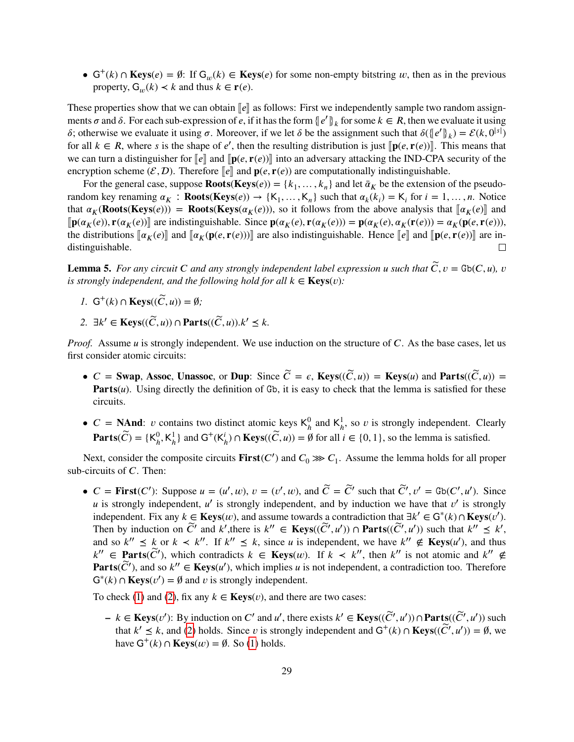•  $G^+(k) \cap \text{Keys}(e) = \emptyset$ : If  $G_w(k) \in \text{Keys}(e)$  for some non-empty bitstring *w*, then as in the previous property,  $G_w(k) \lt k$  and thus  $k \in \mathbf{r}(e)$ .

These properties show that we can obtain  $\llbracket e \rrbracket$  as follows: First we independently sample two random assignments  $\sigma$  and  $\delta$ . For each sub-expression of *e*, if it has the form  $\lbrack e' \rbrack_k$  for some  $k \in R$ , then we evaluate it using  $\delta$ ; otherwise we evaluate it using *σ*. Moreover, if we let *δ* be the assignment such that  $\delta(\llbracket e' \rrbracket_k) = \mathcal{E}(k, 0^{|s|})$ for all  $k \in R$ , where *s* is the shape of *e'*, then the resulting distribution is just  $[\![\mathbf{p}(e, \mathbf{r}(e))]$ . This means that we can turn a distinguisher for  $[\![a]\!]$  and  $[\![\mathbf{p}(e, \mathbf{r}(a))]$  into an edversery attacking th we can turn a distinguisher for  $\llbracket e \rrbracket$  and  $\llbracket \mathbf{p}(e, \mathbf{r}(e)) \rrbracket$  into an adversary attacking the IND-CPA security of the encryption scheme  $(\mathcal{E}, \mathcal{D})$ . Therefore  $\llbracket e \rrbracket$  and  $\mathbf{p}(e, \mathbf{r}(e))$  are computationally indistinguishable.

For the general case, suppose **Roots**( $Keys(e)$ ) = { $k_1, ..., k_n$ } and let  $\bar{\alpha}_K$  be the extension of the pseudorandom key renaming  $\alpha_K$ : **Roots**(**Keys**(*e*))  $\rightarrow$  {K<sub>1</sub>, ..., K<sub>n</sub>} such that  $\alpha_k(k_i) =$  K<sub>i</sub> for  $i = 1, ..., n$ . Notice that  $\alpha_K(\text{Roots}(\text{Keys}(e))) = \text{Roots}(\text{Keys}(\alpha_K(e))),$  so it follows from the above analysis that  $[\alpha_K(e)]$  and  $[\![\mathbf{p}(\alpha_K(e)), \mathbf{r}(\alpha_K(e))] \!]$  are indistinguishable. Since  $\mathbf{p}(\alpha_K(e), \mathbf{r}(\alpha_K(e))) = \mathbf{p}(\alpha_K(e), \alpha_K(\mathbf{r}(e))) = \alpha_K(\mathbf{p}(e, \mathbf{r}(e))),$ the distributions  $\llbracket \alpha_K(e) \rrbracket$  and  $\llbracket \alpha_K(p(e, \mathbf{r}(e))) \rrbracket$  are indistinguishable.

**Lemma 5.** For any circuit C and any strongly independent label expression *u* such that  $\widetilde{C}$ ,  $v = \text{Gb}(C, u)$ ,  $v$ *is strongly independent, and the following hold for all*  $k \in \text{Keys}(v)$ *:* 

- *1*.  $G^+(k) \cap \text{Keys}((\widetilde{C}, u)) = \emptyset$ ;
- *2.* ∃ $k' \in \mathbf{Keys}((\widetilde{C}, u)) \cap \mathbf{Parts}((\widetilde{C}, u))$ . $k' \leq k$ .

*Proof.* Assume *u* is strongly independent. We use induction on the structure of *C*. As the base cases, let us first consider atomic circuits:

- $C = \text{Swap}, \text{Assoc}, \text{Unassoc}, \text{or Dup}: \text{Since } \widetilde{C} = \epsilon, \text{Keys}(\widetilde{C}, u)) = \text{Keys}(u) \text{ and Parts}(\widetilde{C}, u)) = \epsilon$ **Parts**(*u*). Using directly the definition of Gb, it is easy to check that the lemma is satisfied for these circuits.
- $C = \textbf{NAnd: } v \text{ contains two distinct atomic keys } \mathsf{K}^0$  $\frac{0}{h}$  and  $\mathsf{K}^1_h$  $\frac{1}{h}$ , so *v* is strongly independent. Clearly  $\mathbf{Parts}(\widetilde{C}) = \{\mathsf{K}_{h}^{0}$  $_h^0$ , K $_h^1$  $\binom{1}{h}$  and  $G^+(K)$ <sup>i</sup>  $h_h^i$ )  $\cap$  **Keys**(( $\widetilde{C}, u$ )) = Ø for all  $i \in \{0, 1\}$ , so the lemma is satisfied.

Next, consider the composite circuits  $\textbf{First}(C')$  and  $C_0 \ggg C_1$ . Assume the lemma holds for all proper sub-circuits of *C*. Then:

•  $C = \text{First}(C')$ : Suppose  $u = (u', w)$ ,  $v = (v', w)$ , and  $\widetilde{C} = \widetilde{C}'$  such that  $\widetilde{C}'$ ,  $v' = \text{Gb}(C', u')$ . Since  $\mu$  is strongly independent,  $\mu'$  is strongly independent, and by induction we have that  $\nu'$  is strongly independent. Fix any  $k \in \mathbf{Keys}(w)$ , and assume towards a contradiction that  $\exists k' \in G^*(k) \cap \mathbf{Keys}(v')$ . Then by induction on  $\tilde{C}'$  and  $k'$ , there is  $k'' \in \mathbf{Keys}((\tilde{C}', u')) \cap \mathbf{Parts}((\tilde{C}', u'))$  such that  $k'' \leq k'$ , and so  $k'' \leq k$  or  $k \leq k''$ . If  $k'' \leq k$ , since *u* is independent, we have  $k'' \notin \text{Keys}(u')$ , and thus  $k''$  ∈ **Parts**( $\widetilde{C}'$ ), which contradicts  $k \in \textbf{Keys}(w)$ . If  $k \lt k''$ , then  $k''$  is not atomic and  $k'' \notin$ **Parts**( $\widetilde{C}'$ ), and so  $k'' \in \textbf{Keys}(u')$ , which implies *u* is not independent, a contradiction too. Therefore  $G^*(k) \cap \textbf{Keys}(v') = \emptyset$  and *v* is strongly independent.

To check [\(1\)](#page-18-3) and [\(2\)](#page-18-4), fix any  $k \in \text{Keys}(v)$ , and there are two cases:

 $- k \in \text{Keys}(v')$ : By induction on *C'* and *u'*, there exists  $k' \in \text{Keys}((\widetilde{C}', u')) \cap \text{Parts}((\widetilde{C}', u'))$  such that  $k' \leq k$ , and [\(2\)](#page-18-4) holds. Since *v* is strongly independent and  $G^+(k) \cap \textbf{Keys}((\tilde{C}', u')) = \emptyset$ , we have  $G^+(k) \cap \text{Keys}(w) = \emptyset$ . So [\(1\)](#page-18-3) holds.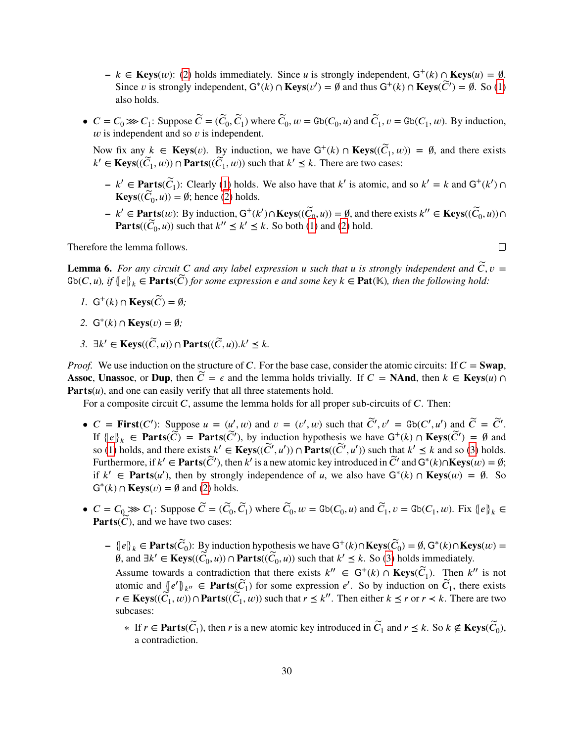- $\mathbf{F} \in \mathbf{Keys}(w)$ : [\(2\)](#page-18-4) holds immediately. Since *u* is strongly independent,  $\mathbf{G}^+(k) \cap \mathbf{Keys}(u) = \emptyset$ . Since *v* is strongly independent,  $G^*(k) \cap \textbf{Keys}(v') = \emptyset$  and thus  $G^+(k) \cap \textbf{Keys}(\widetilde{C}') = \emptyset$ . So [\(1\)](#page-18-3) also holds.
- $C = C_0 \ggg C_1$ : Suppose  $\widetilde{C} = (\widetilde{C}_0, \widetilde{C}_1)$  where  $\widetilde{C}_0, w = \text{Gb}(C_0, u)$  and  $\widetilde{C}_1, v = \text{Gb}(C_1, w)$ . By induction,  *is independent and so*  $*v*$  *is independent.*

Now fix any  $k \in \mathbf{Keys}(v)$ . By induction, we have  $G^+(k) \cap \mathbf{Keys}((\widetilde{C}_1, w)) = \emptyset$ , and there exists  $k' \in \text{Keys}((\widetilde{C}_1, w)) \cap \text{Parts}((\widetilde{C}_1, w))$  such that  $k' \leq k$ . There are two cases:

- $k' \in$  **Parts**( $\widetilde{C}_1$ ): Clearly [\(1\)](#page-18-3) holds. We also have that  $k'$  is atomic, and so  $k' = k$  and  $G^+(k') \cap$ **Keys**( $(\widetilde{C}_0, u)$ ) = Ø; hence [\(2\)](#page-18-4) holds.
- $\mathsf{I} \in \mathbb{R}^d$  **Parts** $(w)$ : By induction,  $G^+(k') \cap \mathbf{Keys}((\widetilde{C}_0, u)) = \emptyset$ , and there exists  $k'' \in \mathbf{Keys}((\widetilde{C}_0, u)) \cap \mathbb{R}$ **Parts**( $(\widetilde{C}_0, u)$ ) such that  $k'' \leq k' \leq k$ . So both [\(1\)](#page-18-3) and [\(2\)](#page-18-4) hold.

Therefore the lemma follows.

**Lemma 6.** For any circuit C and any label expression *u* such that *u* is strongly independent and  $\tilde{C}$ ,  $v =$  $Gb(C, u)$ , if  $\{e\}_k \in$  **Parts** $(\widetilde{C})$  *for some expression e and some key*  $k \in$  **Pat**( $\mathbb{K}$ ), *then the following hold:* 

- *1.*  $G^+(k) \cap \text{Keys}(\widetilde{C}) = \emptyset$ ;
- *2.* **G**<sup>\*</sup>(*k*) ∩ **Keys**(*v*) = Ø*;*
- *3.* ∃ $k' \in \mathbf{Keys}((\widetilde{C}, u)) \cap \mathbf{Parts}((\widetilde{C}, u))$ . $k' \leq k$ .

*Proof.* We use induction on the structure of *C*. For the base case, consider the atomic circuits: If  $C = \textbf{Swap}$ , **Assoc, Unassoc, or Dup, then**  $\tilde{C} = \epsilon$  **and the lemma holds trivially. If**  $C = \textbf{NAnd}$ **, then**  $k \in \textbf{Key}(u) \cap$ **Parts**(*u*), and one can easily verify that all three statements hold.

For a composite circuit *C*, assume the lemma holds for all proper sub-circuits of *C*. Then:

- $C = \text{First}(C')$ : Suppose  $u = (u', w)$  and  $v = (v', w)$  such that  $\tilde{C}', v' = \text{Gb}(C', u')$  and  $\tilde{C} = \tilde{C}'$ . If  $\{\{e\}_k \in \text{Parts}(\widetilde{C}) = \text{Parts}(\widetilde{C}')$ , by induction hypothesis we have  $G^+(k) \cap \text{Keys}(\widetilde{C}') = \emptyset$  and so [\(1\)](#page-18-5) holds, and there exists  $k' \in \text{Keys}((\tilde{C}', u')) \cap \text{Parts}((\tilde{C}', u'))$  such that  $k' \leq k$  and so [\(3\)](#page-18-6) holds. Furthermore, if  $k' \in$  **Parts**( $\widetilde{C}'$ ), then  $k'$  is a new atomic key introduced in  $\widetilde{C}'$  and  $G^*(k) \cap \textbf{Keys}(w) = \emptyset$ ; if  $k'$  ∈ **Parts**(*u'*), then by strongly independence of *u*, we also have  $G^*(k) \cap \textbf{Keys}(w) = \emptyset$ . So  $G^*(k) \cap \textbf{Keys}(v) = \emptyset$  and [\(2\)](#page-18-7) holds.
- $C = C_0 \gg C_1$ : Suppose  $\widetilde{C} = (\widetilde{C}_0, \widetilde{C}_1)$  where  $\widetilde{C}_0, w = \text{Gb}(C_0, u)$  and  $\widetilde{C}_1, v = \text{Gb}(C_1, w)$ . Fix  $\{e\}_k \in C_1$ **Parts**( $\widetilde{C}$ ), and we have two cases:
	- $\{e\}_k \in \textbf{Parts}(\widetilde{C}_0)$ : By induction hypothesis we have  $G^+(k) \cap \textbf{Keys}(\widetilde{C}_0) = \emptyset$ ,  $G^*(k) \cap \textbf{Keys}(w) = \emptyset$  $\emptyset$ , and  $\exists k' \in \mathbf{Keys}((\widetilde{C}_0, u)) \cap \mathbf{Parts}((\widetilde{C}_0, u))$  such that  $k' \leq k$ . So [\(3\)](#page-18-6) holds immediately.

Assume towards a contradiction that there exists  $k'' \in G^+(k) \cap \text{Keys}(\widetilde{C}_1)$ . Then  $k''$  is not atomic and  $\llbracket e' \rrbracket_{k''} \in \textbf{Parts}(\widetilde{C}_1)$  for some expression  $e'$ . So by induction on  $\widetilde{C}_1$ , there exists *r* ∈ **Keys**(( $\tilde{C}_1$ , *w*)) ∩ **Parts**(( $\tilde{C}_1$ , *w*)) such that *r* ≤ *k''*. Then either *k* ≤ *r* or *r* < *k*. There are two subcases:

∗ If  $r \in \text{Parts}(\widetilde{C}_1)$ , then *r* is a new atomic key introduced in  $\widetilde{C}_1$  and  $r \leq k$ . So  $k \notin \text{Keys}(\widetilde{C}_0)$ , a contradiction.

 $\Box$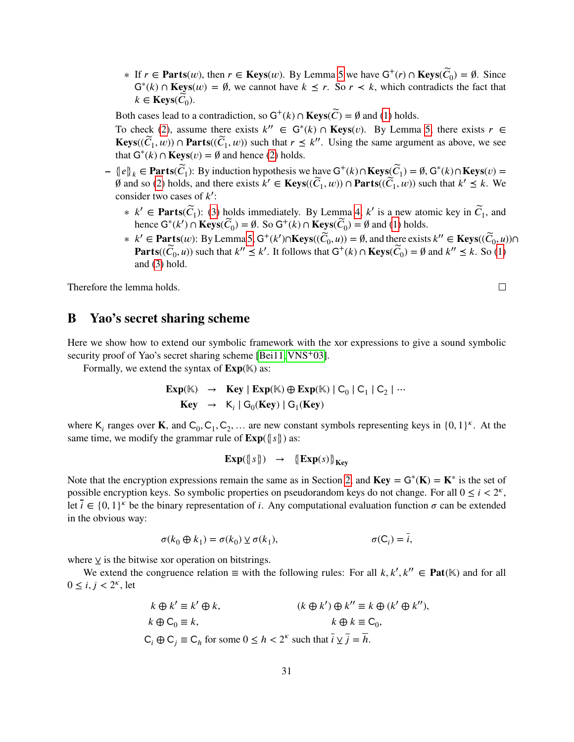$*$  If  $r \in$  **Parts**(*w*), then  $r \in$  **Keys**(*w*). By Lemma [5](#page-18-8) we have  $G^+(r) \cap$  **Keys**( $\widetilde{C}_0$ ) = Ø. Since  $G^*(k) \cap \text{Keys}(w) = \emptyset$ , we cannot have  $k \leq r$ . So  $r \leq k$ , which contradicts the fact that  $k \in \textbf{Keys}(\widetilde{C}_0).$ 

Both cases lead to a contradiction, so  $G^+(k) \cap \textbf{Keys}(\widetilde{C}) = \emptyset$  and [\(1\)](#page-18-5) holds.

To check [\(2\)](#page-18-7), assume there exists  $k'' \in G^*(k) \cap \text{Keys}(v)$ . By Lemma [5,](#page-18-8) there exists  $r \in$ **Keys**( $(\widetilde{C}_1, w)$ )  $\cap$  **Parts**( $(\widetilde{C}_1, w)$ ) such that  $r \leq k''$ . Using the same argument as above, we see that  $G^*(k) \cap \text{Keys}(v) = \emptyset$  and hence [\(2\)](#page-18-7) holds.

- $\{ [e] \}_k \in \text{Parts}(\widetilde{C}_1)$ : By induction hypothesis we have  $G^+(k) \cap \text{Keys}(\widetilde{C}_1) = \emptyset$ ,  $G^*(k) \cap \text{Keys}(v) = \emptyset$ Ø and so [\(2\)](#page-18-7) holds, and there exists  $k' \in \text{Keys}((\widetilde{C}_1, w)) \cap \text{Parts}((\widetilde{C}_1, w))$  such that  $k' \leq k$ . We consider two cases of  $k'$ :
	- $*$  *k*<sup> $′$ </sup> ∈ **Parts**( $\widetilde{C}_1$ ): [\(3\)](#page-18-6) holds immediately. By Lemma [4,](#page-17-0) *k*<sup> $′$ </sup> is a new atomic key in  $\widetilde{C}_1$ , and hence  $G^*(k') \cap \text{Keys}(\widetilde{C}_0) = \emptyset$ . So  $G^+(k) \cap \text{Keys}(\widetilde{C}_0) = \emptyset$  and [\(1\)](#page-18-5) holds.
	- $* k' \in \textbf{Parts}(w)$ : By Lemma [5,](#page-18-8) G<sup>+</sup>(k')∩Keys(( $\widetilde{C}_0, u$ )) = Ø, and there exists  $k'' \in \textbf{Keys}((\widetilde{C}_0, u)) \cap$ **Parts**(( $\widetilde{C}_0$ , *u*)) such that  $k'' \leq k'$ . It follows that  $G^+(k) \cap \textbf{Keys}(\widetilde{C}_0) = \emptyset$  and  $k'' \leq k$ . So [\(1\)](#page-18-5) and [\(3\)](#page-18-6) hold.

Therefore the lemma holds.

#### $\Box$

### **B Yao's secret sharing scheme**

Here we show how to extend our symbolic framework with the xor expressions to give a sound symbolic security proof of Yao's secret sharing scheme [\[Bei11,](#page-23-5) [VNS](#page-26-8)<sup>+</sup>03].

Formally, we extend the syntax of  $Exp(K)$  as:

$$
\begin{array}{rcl}\n\text{Exp}(\mathbb{K}) & \rightarrow & \text{Key} \mid \text{Exp}(\mathbb{K}) \oplus \text{Exp}(\mathbb{K}) \mid C_0 \mid C_1 \mid C_2 \mid \cdots \\
\text{Key} & \rightarrow & \text{K}_i \mid \text{G}_0(\text{Key}) \mid \text{G}_1(\text{Key})\n\end{array}
$$

where  $K_i$  ranges over **K**, and  $C_0, C_1, C_2, \ldots$  are new constant symbols representing keys in  $\{0, 1\}^{\kappa}$ . At the same time, we modify the grammar rule of  $\text{Exp}(\lbrace s \rbrace)$  as:

$$
\mathbf{Exp}(\lbrace \lbrace s \rbrace) \rightarrow \lbrace \lbrace \mathbf{Exp}(s) \rbrace \rbrace_{\mathbf{Key}}
$$

Note that the encryption expressions remain the same as in Section [2,](#page-4-0) and  $\mathbf{Key} = G^*(\mathbf{K}) = \mathbf{K}^*$  is the set of possible encryption keys. So symbolic properties on pseudorandom keys do not change. For all  $0 \le i < 2^k$ , let  $i \in \{0,1\}^K$  be the binary representation of *i*. Any computational evaluation function  $\sigma$  can be extended in the obvious way:

$$
\sigma(k_0 \oplus k_1) = \sigma(k_0) \vee \sigma(k_1), \qquad \sigma(C_i) = i,
$$

where  $\vee$  is the bitwise xor operation on bitstrings.

We extend the congruence relation  $\equiv$  with the following rules: For all  $k, k', k'' \in \textbf{Pat}(\mathbb{K})$  and for all  $0 \leq i, j < 2^{\kappa}$ , let

$$
k \oplus k' \equiv k' \oplus k, \qquad (k \oplus k') \oplus k'' \equiv k \oplus (k' \oplus k''),
$$
  
\n
$$
k \oplus C_0 \equiv k, \qquad k \oplus k \equiv C_0,
$$
  
\n
$$
C_i \oplus C_j \equiv C_h \text{ for some } 0 \le h < 2^k \text{ such that } \overline{i} \veebar{j} = \overline{h}.
$$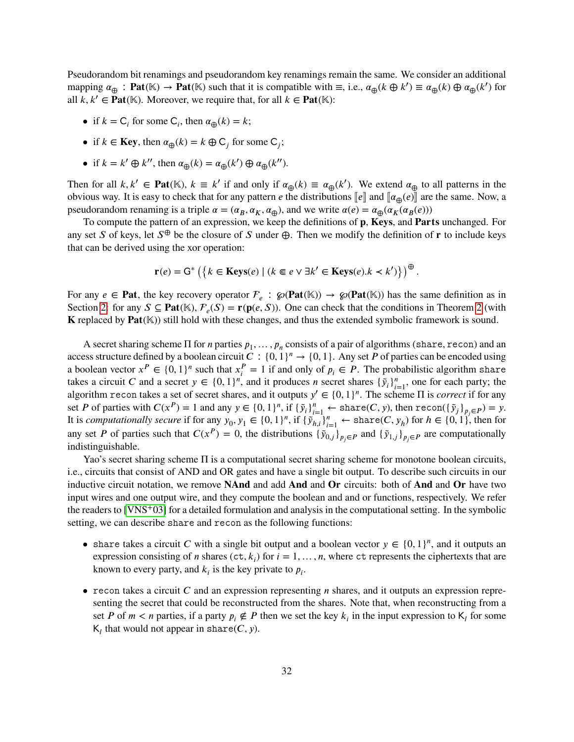Pseudorandom bit renamings and pseudorandom key renamings remain the same. We consider an additional mapping  $\alpha_{\oplus}$ : **Pat**(<sup>K</sup>) → **Pat**(<sup>K</sup>) such that it is compatible with  $\equiv$ , i.e.,  $\alpha_{\oplus}(k \oplus k') \equiv \alpha_{\oplus}(k) \oplus \alpha_{\oplus}(k')$  for all *k*,  $k'$  ∈ **Pat**(<sup> $K$ </sup>). Moreover, we require that, for all  $k \in$  **Pat**( $K$ ):

- if  $k = C_i$  for some  $C_i$ , then  $\alpha_{\bigoplus}(k) = k$ ;
- if  $k \in \text{Key}$ , then  $\alpha_{\bigoplus}(k) = k \oplus C_j$  for some  $C_j$ ;
- if  $k = k' \oplus k''$ , then  $\alpha_{\oplus}(k) = \alpha_{\oplus}(k') \oplus \alpha_{\oplus}(k'')$ .

Then for all  $k, k' \in \textbf{Pat}(\mathbb{K}), k \equiv k'$  if and only if  $\alpha_{\bigoplus}(k) \equiv \alpha_{\bigoplus}(k')$ . We extend  $\alpha_{\bigoplus}$  to all patterns in the obvious way. It is easy to check that for any pattern *e* the distributions  $\llbracket e \rrbracket$  and  $\llbracket \alpha_{\bigoplus}(e) \rrbracket$  are the same. Now, a pseudorandom renaming is a triple  $\alpha = (\alpha_B, \alpha_K, \alpha_{\oplus})$ , and we write  $\alpha(e) = \alpha_{\oplus}(\alpha_K(\alpha_B(e)))$ 

To compute the pattern of an expression, we keep the definitions of **p**, Keys, and Parts unchanged. For any set *S* of keys, let  $S^{\oplus}$  be the closure of *S* under  $\oplus$ . Then we modify the definition of **r** to include keys that can be derived using the xor operation:

$$
\mathbf{r}(e) = \mathbf{G}^* \left( \left\{ k \in \mathbf{Keys}(e) \mid (k \in e \lor \exists k' \in \mathbf{Keys}(e).k \prec k') \right\} \right)^\oplus.
$$

For any  $e \in$  **Pat**, the key recovery operator  $\mathcal{F}_e$ :  $\wp(\text{Pat}(\mathbb{K})) \to \wp(\text{Pat}(\mathbb{K}))$  has the same definition as in Section [2:](#page-4-0) for any  $S \subseteq \textbf{Pat}(\mathbb{K}), \mathcal{F}_e(S) = \mathbf{r}(\mathbf{p}(e, S))$ . One can check that the conditions in Theorem [2](#page-9-1) (with **K** replaced by  $Pat(\mathbb{K})$ ) still hold with these changes, and thus the extended symbolic framework is sound.

A secret sharing scheme Π for *n* parties  $p_1, \ldots, p_n$  consists of a pair of algorithms (share, recon) and an access structure defined by a boolean circuit  $C : \{0,1\}^n \rightarrow \{0,1\}$ . Any set P of parties can be encoded using a boolean vector  $x^P \in \{0,1\}^n$  such that  $x_i^P = 1$  if and only of  $p_i \in P$ . The probabilistic algorithm share takes a circuit *C* and a secret  $y \in \{0, 1\}^n$ , and it produces *n* secret shares  $\{\tilde{y}_i\}_{i=1}^n$ , one for each party; the algorithm recon takes a set of secret shares, and it outputs  $y' \in \{0, 1\}^n$ . The scheme  $\Pi$  is *correct* if for any set P of parties with  $C(x^P) = 1$  and any  $y \in \{0, 1\}^n$ , if  $\{\tilde{y}_i\}_{i=1}^n \leftarrow \text{share}(C, y)$ , then  $\text{recon}(\{\tilde{y}_j\}_{p_j \in P}) = y$ . It is *computationally secure* if for any  $y_0, y_1 \in \{0, 1\}^n$ , if  $\{\tilde{y}_{h,i}\}_{i=1}^n \leftarrow \text{share}(C, y_h)$  for  $h \in \{0, 1\}$ , then for any set *P* of parties such that  $C(x^P) = 0$ , the distributions  $\{\tilde{y}_{0,j}\}_{p_j \in P}$  and  $\{\tilde{y}_{1,j}\}_{p_j \in P}$  are computationally indistinguishable.

Yao's secret sharing scheme Π is a computational secret sharing scheme for monotone boolean circuits, i.e., circuits that consist of AND and OR gates and have a single bit output. To describe such circuits in our inductive circuit notation, we remove **NAnd** and add **And** and **Or** circuits: both of **And** and **Or** have two input wires and one output wire, and they compute the boolean and and or functions, respectively. We refer the readers to [\[VNS](#page-26-8)+03] for a detailed formulation and analysis in the computational setting. In the symbolic setting, we can describe share and recon as the following functions:

- share takes a circuit *C* with a single bit output and a boolean vector  $y \in \{0, 1\}^n$ , and it outputs an expression consisting of *n* shares ( $ct, k_i$ ) for  $i = 1, \ldots, n$ , where  $ct$  represents the ciphertexts that are known to every party, and  $k_i$  is the key private to  $p_i$ .
- recon takes a circuit *C* and an expression representing *n* shares, and it outputs an expression representing the secret that could be reconstructed from the shares. Note that, when reconstructing from a set *P* of *m* < *n* parties, if a party  $p_i \notin P$  then we set the key  $k_i$  in the input expression to  $K_i$  for some  $K_l$  that would not appear in share( $C, y$ ).